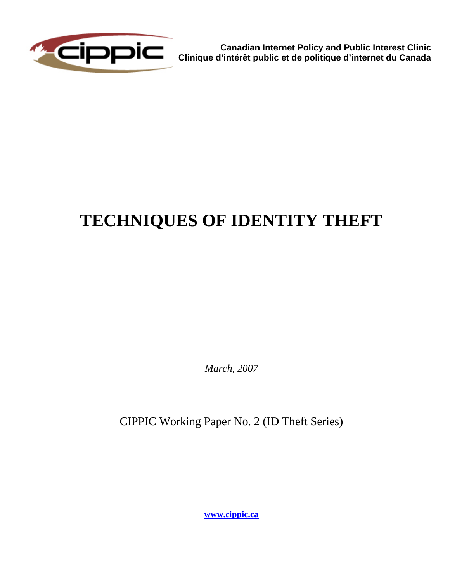

**Canadian Internet Policy and Public Interest Clinic Clinique d'intérêt public et de politique d'internet du Canada**

# **TECHNIQUES OF IDENTITY THEFT**

*March, 2007* 

CIPPIC Working Paper No. 2 (ID Theft Series)

**[www.cippic.ca](http://www.cippic.ca/)**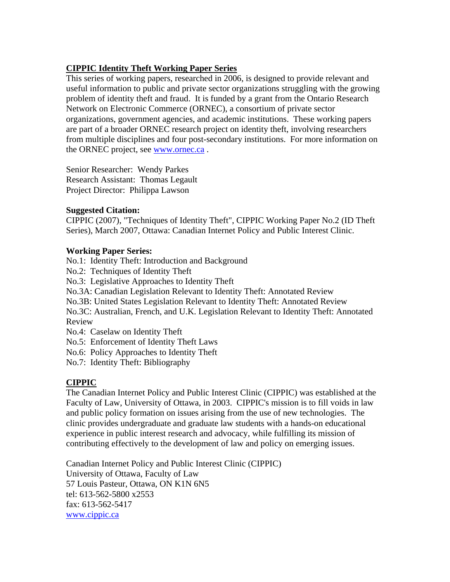#### **CIPPIC Identity Theft Working Paper Series**

This series of working papers, researched in 2006, is designed to provide relevant and useful information to public and private sector organizations struggling with the growing problem of identity theft and fraud. It is funded by a grant from the Ontario Research Network on Electronic Commerce (ORNEC), a consortium of private sector organizations, government agencies, and academic institutions. These working papers are part of a broader ORNEC research project on identity theft, involving researchers from multiple disciplines and four post-secondary institutions. For more information on the ORNEC project, see [www.ornec.ca](http://www.ornec.ca/) .

Senior Researcher: Wendy Parkes Research Assistant: Thomas Legault Project Director: Philippa Lawson

#### **Suggested Citation:**

CIPPIC (2007), "Techniques of Identity Theft", CIPPIC Working Paper No.2 (ID Theft Series), March 2007, Ottawa: Canadian Internet Policy and Public Interest Clinic.

#### **Working Paper Series:**

No.1: Identity Theft: Introduction and Background

No.2: Techniques of Identity Theft

No.3: Legislative Approaches to Identity Theft

No.3A: Canadian Legislation Relevant to Identity Theft: Annotated Review

No.3B: United States Legislation Relevant to Identity Theft: Annotated Review

No.3C: Australian, French, and U.K. Legislation Relevant to Identity Theft: Annotated Review

No.4: Caselaw on Identity Theft

No.5: Enforcement of Identity Theft Laws

No.6: Policy Approaches to Identity Theft

No.7: Identity Theft: Bibliography

#### **CIPPIC**

The Canadian Internet Policy and Public Interest Clinic (CIPPIC) was established at the Faculty of Law, University of Ottawa, in 2003. CIPPIC's mission is to fill voids in law and public policy formation on issues arising from the use of new technologies. The clinic provides undergraduate and graduate law students with a hands-on educational experience in public interest research and advocacy, while fulfilling its mission of contributing effectively to the development of law and policy on emerging issues.

Canadian Internet Policy and Public Interest Clinic (CIPPIC) University of Ottawa, Faculty of Law 57 Louis Pasteur, Ottawa, ON K1N 6N5 tel: 613-562-5800 x2553 fax: 613-562-5417 [www.cippic.ca](http://www.cippic.ca/)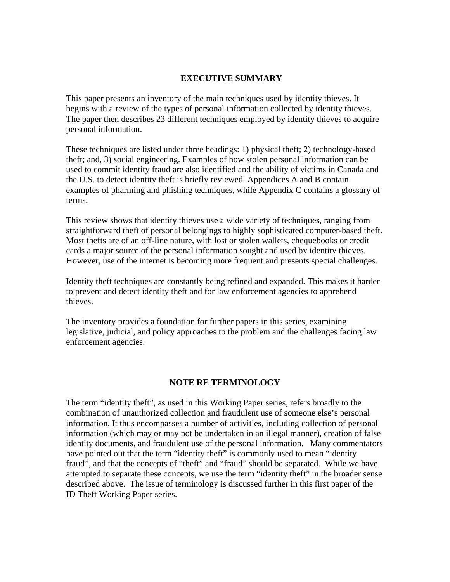#### **EXECUTIVE SUMMARY**

This paper presents an inventory of the main techniques used by identity thieves. It begins with a review of the types of personal information collected by identity thieves. The paper then describes 23 different techniques employed by identity thieves to acquire personal information.

These techniques are listed under three headings: 1) physical theft; 2) technology-based theft; and, 3) social engineering. Examples of how stolen personal information can be used to commit identity fraud are also identified and the ability of victims in Canada and the U.S. to detect identity theft is briefly reviewed. Appendices A and B contain examples of pharming and phishing techniques, while Appendix C contains a glossary of terms.

This review shows that identity thieves use a wide variety of techniques, ranging from straightforward theft of personal belongings to highly sophisticated computer-based theft. Most thefts are of an off-line nature, with lost or stolen wallets, chequebooks or credit cards a major source of the personal information sought and used by identity thieves. However, use of the internet is becoming more frequent and presents special challenges.

Identity theft techniques are constantly being refined and expanded. This makes it harder to prevent and detect identity theft and for law enforcement agencies to apprehend thieves.

The inventory provides a foundation for further papers in this series, examining legislative, judicial, and policy approaches to the problem and the challenges facing law enforcement agencies.

#### **NOTE RE TERMINOLOGY**

The term "identity theft", as used in this Working Paper series, refers broadly to the combination of unauthorized collection and fraudulent use of someone else's personal information. It thus encompasses a number of activities, including collection of personal information (which may or may not be undertaken in an illegal manner), creation of false identity documents, and fraudulent use of the personal information. Many commentators have pointed out that the term "identity theft" is commonly used to mean "identity fraud", and that the concepts of "theft" and "fraud" should be separated. While we have attempted to separate these concepts, we use the term "identity theft" in the broader sense described above. The issue of terminology is discussed further in this first paper of the ID Theft Working Paper series.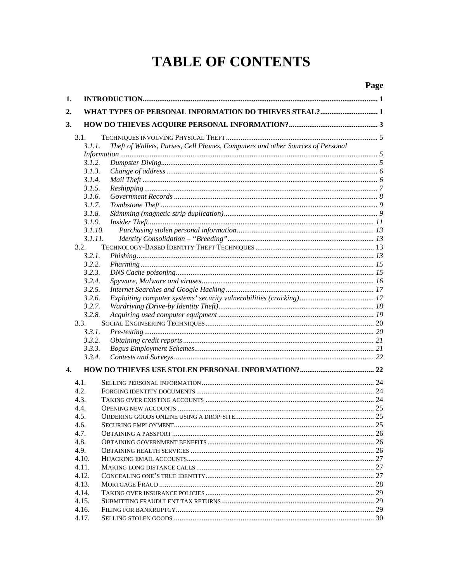# **TABLE OF CONTENTS**

| 1.               |         |                                                                                |  |
|------------------|---------|--------------------------------------------------------------------------------|--|
| 2.               |         |                                                                                |  |
| 3.               |         |                                                                                |  |
|                  | 3.1.    |                                                                                |  |
|                  | 3.1.1.  | Theft of Wallets, Purses, Cell Phones, Computers and other Sources of Personal |  |
|                  |         |                                                                                |  |
|                  | 3.1.2.  |                                                                                |  |
|                  | 3.1.3.  |                                                                                |  |
|                  | 3.1.4.  |                                                                                |  |
|                  | 3.1.5.  |                                                                                |  |
|                  | 3.1.6.  |                                                                                |  |
|                  | 3.1.7.  |                                                                                |  |
|                  | 3.1.8.  |                                                                                |  |
|                  | 3.1.9.  |                                                                                |  |
|                  | 3.1.10. |                                                                                |  |
|                  | 3.1.11. |                                                                                |  |
|                  | 3.2.    |                                                                                |  |
|                  | 3.2.1.  |                                                                                |  |
|                  | 3.2.2.  |                                                                                |  |
|                  | 3.2.3.  |                                                                                |  |
|                  | 3.2.4.  |                                                                                |  |
|                  | 3.2.5.  |                                                                                |  |
|                  | 3.2.6.  |                                                                                |  |
|                  | 3.2.7.  |                                                                                |  |
|                  | 3.2.8.  |                                                                                |  |
|                  | 3.3.    |                                                                                |  |
|                  | 3.3.1.  |                                                                                |  |
|                  | 3.3.2.  |                                                                                |  |
|                  | 3.3.3.  |                                                                                |  |
|                  | 3.3.4.  |                                                                                |  |
| $\overline{4}$ . |         |                                                                                |  |
|                  | 4.1.    |                                                                                |  |
|                  | 4.2.    |                                                                                |  |
|                  | 4.3.    |                                                                                |  |
|                  | 4.4.    |                                                                                |  |
|                  | 4.5.    |                                                                                |  |
|                  | 4.6.    |                                                                                |  |
|                  | 4.7.    |                                                                                |  |
|                  | 4.8.    |                                                                                |  |
|                  | 4.9.    |                                                                                |  |
|                  | 4.10.   |                                                                                |  |
|                  | 4.11.   |                                                                                |  |
|                  | 4.12.   |                                                                                |  |
|                  | 4.13.   |                                                                                |  |
|                  | 4.14.   |                                                                                |  |
|                  | 4.15.   |                                                                                |  |
|                  | 4.16.   |                                                                                |  |
|                  | 4.17.   |                                                                                |  |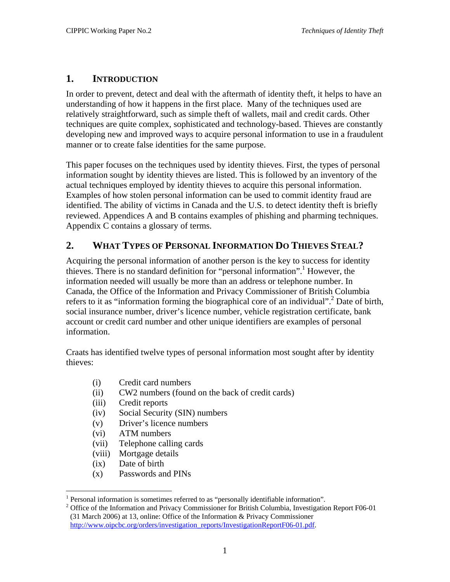#### <span id="page-6-0"></span>**1. INTRODUCTION**

In order to prevent, detect and deal with the aftermath of identity theft, it helps to have an understanding of how it happens in the first place. Many of the techniques used are relatively straightforward, such as simple theft of wallets, mail and credit cards. Other techniques are quite complex, sophisticated and technology-based. Thieves are constantly developing new and improved ways to acquire personal information to use in a fraudulent manner or to create false identities for the same purpose.

This paper focuses on the techniques used by identity thieves. First, the types of personal information sought by identity thieves are listed. This is followed by an inventory of the actual techniques employed by identity thieves to acquire this personal information. Examples of how stolen personal information can be used to commit identity fraud are identified. The ability of victims in Canada and the U.S. to detect identity theft is briefly reviewed. Appendices A and B contains examples of phishing and pharming techniques. Appendix C contains a glossary of terms.

## **2. WHAT TYPES OF PERSONAL INFORMATION DO THIEVES STEAL?**

Acquiring the personal information of another person is the key to success for identity thieves. There is no standard definition for "personal information".<sup>1</sup> However, the information needed will usually be more than an address or telephone number. In Canada, the Office of the Information and Privacy Commissioner of British Columbia refers to it as "information forming the biographical core of an individual".<sup>[2](#page-6-2)</sup> Date of birth, social insurance number, driver's licence number, vehicle registration certificate, bank account or credit card number and other unique identifiers are examples of personal information.

Craats has identified twelve types of personal information most sought after by identity thieves:

- (i) Credit card numbers
- (ii) CW2 numbers (found on the back of credit cards)
- (iii) Credit reports
- (iv) Social Security (SIN) numbers
- (v) Driver's licence numbers
- (vi) ATM numbers
- (vii) Telephone calling cards
- (viii) Mortgage details
- (ix) Date of birth
- (x) Passwords and PINs

<sup>&</sup>lt;sup>1</sup><br><sup>1</sup> Personal information is sometimes referred to as "personally identifiable information".<br><sup>2</sup> Office of the Information and Driveau Commissioner for British Columbia Investigation

<span id="page-6-2"></span><span id="page-6-1"></span> $2$  Office of the Information and Privacy Commissioner for British Columbia, Investigation Report F06-01 (31 March 2006) at 13, online: Office of the Information & Privacy Commissioner [http://www.oipcbc.org/orders/investigation\\_reports/InvestigationReportF06-01.pdf](http://www.oipcbc.org/orders/investigation_reports/InvestigationReportF06-01.pdf).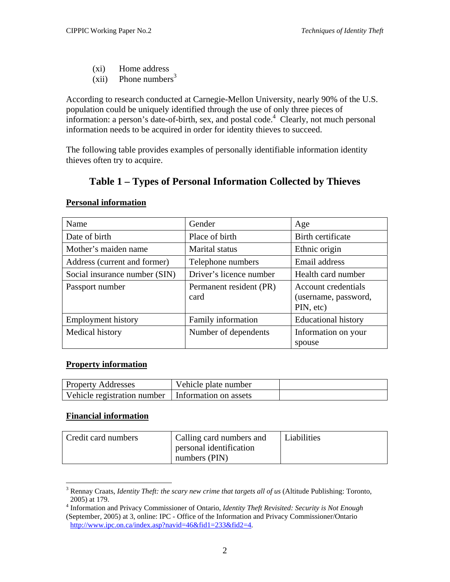- (xi) Home address
- (xii) Phone numbers<sup>[3](#page-7-0)</sup>

According to research conducted at Carnegie-Mellon University, nearly 90% of the U.S. population could be uniquely identified through the use of only three pieces of information: a person's date-of-birth, sex, and postal code.<sup>4</sup> Clearly, not much personal information needs to be acquired in order for identity thieves to succeed.

The following table provides examples of personally identifiable information identity thieves often try to acquire.

# **Table 1 – Types of Personal Information Collected by Thieves**

| Name                          | Gender                          | Age                                                      |
|-------------------------------|---------------------------------|----------------------------------------------------------|
| Date of birth                 | Place of birth                  | Birth certificate                                        |
| Mother's maiden name          | <b>Marital</b> status           | Ethnic origin                                            |
| Address (current and former)  | Telephone numbers               | Email address                                            |
| Social insurance number (SIN) | Driver's licence number         | Health card number                                       |
| Passport number               | Permanent resident (PR)<br>card | Account credentials<br>(username, password,<br>PIN, etc) |
| <b>Employment history</b>     | Family information              | <b>Educational history</b>                               |
| Medical history               | Number of dependents            | Information on your<br>spouse                            |

#### **Personal information**

#### **Property information**

| <b>Property Addresses</b>                           | Vehicle plate number |  |
|-----------------------------------------------------|----------------------|--|
| Vehicle registration number   Information on assets |                      |  |

#### **Financial information**

| Credit card numbers | Calling card numbers and | Liabilities |
|---------------------|--------------------------|-------------|
|                     | personal identification  |             |
|                     | numbers (PIN)            |             |

<span id="page-7-0"></span><sup>3</sup> Rennay Craats, *Identity Theft: the scary new crime that targets all of us* (Altitude Publishing: Toronto,  $2005$ ) at 179.

<span id="page-7-1"></span>Information and Privacy Commissioner of Ontario, *Identity Theft Revisited: Security is Not Enough* (September, 2005) at 3, online: IPC - Office of the Information and Privacy Commissioner/Ontario <http://www.ipc.on.ca/index.asp?navid=46&fid1=233&fid2=4>.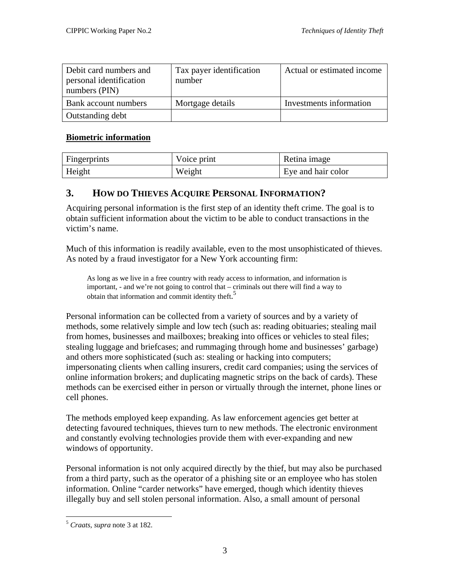<span id="page-8-0"></span>

| Debit card numbers and<br>personal identification<br>numbers (PIN) | Tax payer identification<br>number | Actual or estimated income |
|--------------------------------------------------------------------|------------------------------------|----------------------------|
| <b>Bank account numbers</b>                                        | Mortgage details                   | Investments information    |
| Outstanding debt                                                   |                                    |                            |

#### **Biometric information**

| <b>Fingerprints</b> | Voice print | Retina image       |
|---------------------|-------------|--------------------|
| Height              | Weight      | Eye and hair color |

## **3. HOW DO THIEVES ACQUIRE PERSONAL INFORMATION?**

Acquiring personal information is the first step of an identity theft crime. The goal is to obtain sufficient information about the victim to be able to conduct transactions in the victim's name.

Much of this information is readily available, even to the most unsophisticated of thieves. As noted by a fraud investigator for a New York accounting firm:

As long as we live in a free country with ready access to information, and information is important, - and we're not going to control that – criminals out there will find a way to obtain that information and commit identity theft. [5](#page-8-1)

Personal information can be collected from a variety of sources and by a variety of methods, some relatively simple and low tech (such as: reading obituaries; stealing mail from homes, businesses and mailboxes; breaking into offices or vehicles to steal files; stealing luggage and briefcases; and rummaging through home and businesses' garbage) and others more sophisticated (such as: stealing or hacking into computers; impersonating clients when calling insurers, credit card companies; using the services of online information brokers; and duplicating magnetic strips on the back of cards). These methods can be exercised either in person or virtually through the internet, phone lines or cell phones.

The methods employed keep expanding. As law enforcement agencies get better at detecting favoured techniques, thieves turn to new methods. The electronic environment and constantly evolving technologies provide them with ever-expanding and new windows of opportunity.

Personal information is not only acquired directly by the thief, but may also be purchased from a third party, such as the operator of a phishing site or an employee who has stolen information. Online "carder networks" have emerged, though which identity thieves illegally buy and sell stolen personal information. Also, a small amount of personal

<span id="page-8-1"></span><sup>5</sup> *Craats*, *supra* note 3 at 182.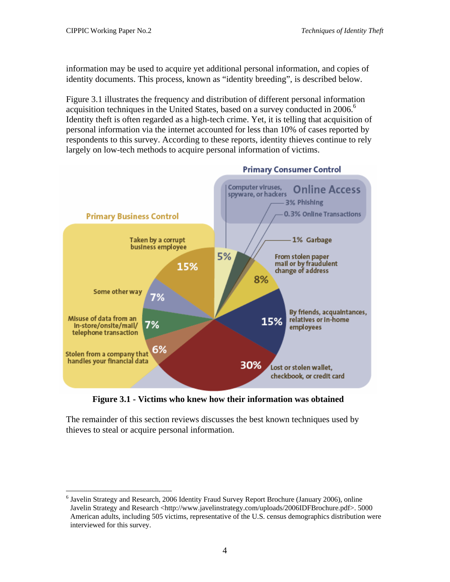$\overline{a}$ 

information may be used to acquire yet additional personal information, and copies of identity documents. This process, known as "identity breeding", is described below.

[Figure 3.1](#page-9-0) illustrates the frequency and distribution of different personal information acquisition techniques in the United States, based on a survey conducted in 200[6](#page-9-1).<sup>6</sup> Identity theft is often regarded as a high-tech crime. Yet, it is telling that acquisition of personal information via the internet accounted for less than 10% of cases reported by respondents to this survey. According to these reports, identity thieves continue to rely largely on low-tech methods to acquire personal information of victims.

<span id="page-9-0"></span>

**Figure 3.1 - Victims who knew how their information was obtained**

The remainder of this section reviews discusses the best known techniques used by thieves to steal or acquire personal information.

<span id="page-9-1"></span><sup>&</sup>lt;sup>6</sup> Javelin Strategy and Research, 2006 Identity Fraud Survey Report Brochure (January 2006), online Javelin Strategy and Research <http://www.javelinstrategy.com/uploads/2006IDFBrochure.pdf>. 5000 American adults, including 505 victims, representative of the U.S. census demographics distribution were interviewed for this survey.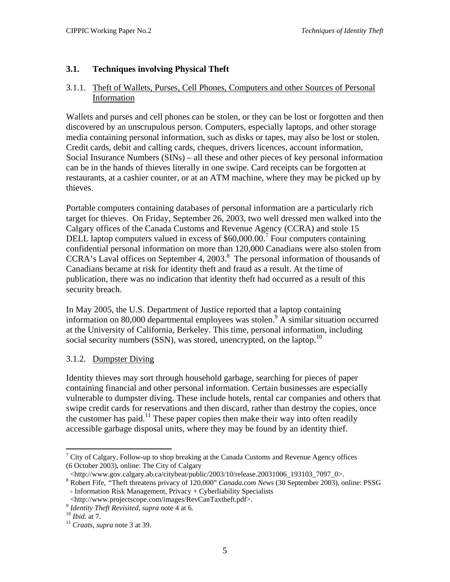#### <span id="page-10-0"></span>**3.1. Techniques involving Physical Theft**

#### 3.1.1. Theft of Wallets, Purses, Cell Phones, Computers and other Sources of Personal Information

Wallets and purses and cell phones can be stolen, or they can be lost or forgotten and then discovered by an unscrupulous person. Computers, especially laptops, and other storage media containing personal information, such as disks or tapes, may also be lost or stolen. Credit cards, debit and calling cards, cheques, drivers licences, account information, Social Insurance Numbers (SINs) – all these and other pieces of key personal information can be in the hands of thieves literally in one swipe. Card receipts can be forgotten at restaurants, at a cashier counter, or at an ATM machine, where they may be picked up by thieves.

Portable computers containing databases of personal information are a particularly rich target for thieves. On Friday, September 26, 2003, two well dressed men walked into the Calgary offices of the Canada Customs and Revenue Agency (CCRA) and stole 15 DELL laptop computers valued in excess of \$60,000.00.<sup>[7](#page-10-1)</sup> Four computers containing confidential personal information on more than 120,000 Canadians were also stolen from CCRA's Laval offices on September 4, 2003.<sup>[8](#page-10-2)</sup> The personal information of thousands of Canadians became at risk for identity theft and fraud as a result. At the time of publication, there was no indication that identity theft had occurred as a result of this security breach.

In May 2005, the U.S. Department of Justice reported that a laptop containing information on 80,000 departmental employees was stolen.<sup>[9](#page-10-3)</sup> A similar situation occurred at the University of California, Berkeley. This time, personal information, including social security numbers (SSN), was stored, unencrypted, on the laptop.<sup>[10](#page-10-4)</sup>

#### 3.1.2. Dumpster Diving

Identity thieves may sort through household garbage, searching for pieces of paper containing financial and other personal information. Certain businesses are especially vulnerable to dumpster diving. These include hotels, rental car companies and others that swipe credit cards for reservations and then discard, rather than destroy the copies, once the customer has paid.<sup>11</sup> These paper copies then make their way into often readily accessible garbage disposal units, where they may be found by an identity thief.

1

<span id="page-10-1"></span> $7$  City of Calgary, Follow-up to shop breaking at the Canada Customs and Revenue Agency offices (6 October 2003), online: The City of Calgary

<sup>&</sup>lt;http://www.gov.calgary.ab.ca/citybeat/public/2003/10/release.20031006\_193103\_7097\_0>.

<span id="page-10-2"></span>Robert Fife, *"*Theft threatens privacy of 120,000" *Canada.com News* (30 September 2003), online: PSSG - Information Risk Management, Privacy + Cyberliability Specialists

<sup>&</sup>lt;http://www.projectscope.com/images/RevCanTaxtheft.pdf>. 9 *Identity Theft Revisited*, *supra* note 4 at 6. 10 *Ibid.* at 7. 11 *Craats*, *supra* note 3 at 39.

<span id="page-10-3"></span>

<span id="page-10-4"></span>

<span id="page-10-5"></span>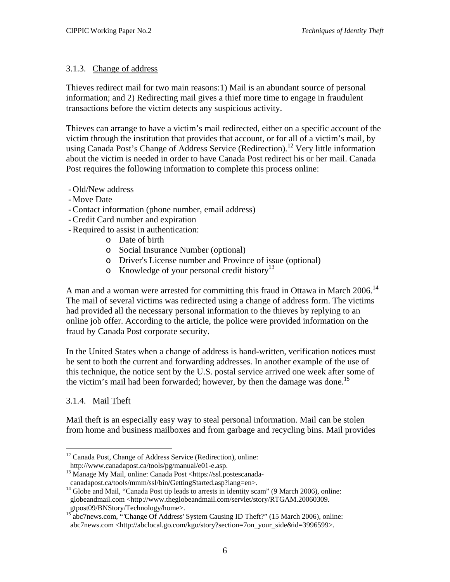#### <span id="page-11-0"></span>3.1.3. Change of address

Thieves redirect mail for two main reasons:1) Mail is an abundant source of personal information; and 2) Redirecting mail gives a thief more time to engage in fraudulent transactions before the victim detects any suspicious activity.

Thieves can arrange to have a victim's mail redirected, either on a specific account of the victim through the institution that provides that account, or for all of a victim's mail, by using Canada Post's Change of Address Service (Redirection).<sup>12</sup> Very little information about the victim is needed in order to have Canada Post redirect his or her mail. Canada Post requires the following information to complete this process online:

- Old/New address
- Move Date
- Contact information (phone number, email address)
- Credit Card number and expiration
- Required to assist in authentication:
	- o Date of birth
	- o Social Insurance Number (optional)
	- o Driver's License number and Province of issue (optional)
	- $\circ$  Knowledge of your personal credit history<sup>[13](#page-11-2)</sup>

A man and a woman were arrested for committing this fraud in Ottawa in March 2006.<sup>[14](#page-11-3)</sup> The mail of several victims was redirected using a change of address form. The victims had provided all the necessary personal information to the thieves by replying to an online job offer. According to the article, the police were provided information on the fraud by Canada Post corporate security.

In the United States when a change of address is hand-written, verification notices must be sent to both the current and forwarding addresses. In another example of the use of this technique, the notice sent by the U.S. postal service arrived one week after some of the victim's mail had been forwarded; however, by then the damage was done.<sup>15</sup>

#### 3.1.4. Mail Theft

Mail theft is an especially easy way to steal personal information. Mail can be stolen from home and business mailboxes and from garbage and recycling bins. Mail provides

 $\overline{a}$ <sup>12</sup> Canada Post, Change of Address Service (Redirection), online:

<span id="page-11-2"></span><span id="page-11-1"></span>

http://www.canadapost.ca/tools/pg/manual/e01-e.asp.<br>
<sup>13</sup> Manage My Mail, online: Canada Post <https://ssl.postescanada-<br>
canadapost.ca/tools/mmm/ssl/bin/GettingStarted.asp?lang=en>.

<span id="page-11-3"></span> $14$  Globe and Mail, "Canada Post tip leads to arrests in identity scam" (9 March 2006), online: globeandmail.com <http://www.theglobeandmail.com/servlet/story/RTGAM.20060309.<br>gtpost09/BNStory/Technology/home>.<br><sup>15</sup> abc7naws.com "Charas Of AM.

<span id="page-11-4"></span>abc7news.com, "'Change Of Address' System Causing ID Theft?" (15 March 2006), online: abc7news.com <http://abclocal.go.com/kgo/story?section=7on\_your\_side&id=3996599>.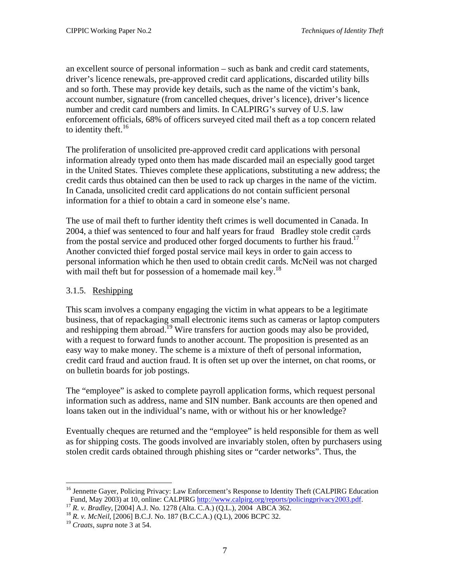<span id="page-12-0"></span>an excellent source of personal information – such as bank and credit card statements, driver's licence renewals, pre-approved credit card applications, discarded utility bills and so forth. These may provide key details, such as the name of the victim's bank, account number, signature (from cancelled cheques, driver's licence), driver's licence number and credit card numbers and limits. In CALPIRG's survey of U.S. law enforcement officials, 68% of officers surveyed cited mail theft as a top concern related to identity theft.<sup>[16](#page-12-1)</sup>

The proliferation of unsolicited pre-approved credit card applications with personal information already typed onto them has made discarded mail an especially good target in the United States. Thieves complete these applications, substituting a new address; the credit cards thus obtained can then be used to rack up charges in the name of the victim. In Canada, unsolicited credit card applications do not contain sufficient personal information for a thief to obtain a card in someone else's name.

The use of mail theft to further identity theft crimes is well documented in Canada. In 2004, a thief was sentenced to four and half years for fraud Bradley stole credit cards from the postal service and produced other forged documents to further his fraud.<sup>17</sup> Another convicted thief forged postal service mail keys in order to gain access to personal information which he then used to obtain credit cards. McNeil was not charged with mail theft but for possession of a homemade mail key.<sup>18</sup>

#### 3.1.5. Reshipping

This scam involves a company engaging the victim in what appears to be a legitimate business, that of repackaging small electronic items such as cameras or laptop computers and reshipping them abroad.<sup>19</sup> Wire transfers for auction goods may also be provided, with a request to forward funds to another account. The proposition is presented as an easy way to make money. The scheme is a mixture of theft of personal information, credit card fraud and auction fraud. It is often set up over the internet, on chat rooms, or on bulletin boards for job postings.

The "employee" is asked to complete payroll application forms, which request personal information such as address, name and SIN number. Bank accounts are then opened and loans taken out in the individual's name, with or without his or her knowledge?

Eventually cheques are returned and the "employee" is held responsible for them as well as for shipping costs. The goods involved are invariably stolen, often by purchasers using stolen credit cards obtained through phishing sites or "carder networks". Thus, the

1

<span id="page-12-1"></span><sup>&</sup>lt;sup>16</sup> Jennette Gayer, Policing Privacy: Law Enforcement's Response to Identity Theft (CALPIRG Education Fund, May 2003) at 10, online: CALPIRG [http://www.calpirg.org/reports/policingprivacy2003.pdf.](http://www.calpirg.org/reports/policingprivacy2003.pdf)<br>
<sup>17</sup> R. v. Bradley, [2004] A.J. No. 1278 (Alta. C.A.) (Q.L.), 2004 ABCA 362.<br>
<sup>18</sup> R. v. McNeil, [2006] B.C.J. No. 187 (B.C.C.

<span id="page-12-2"></span>

<span id="page-12-3"></span>

<span id="page-12-4"></span>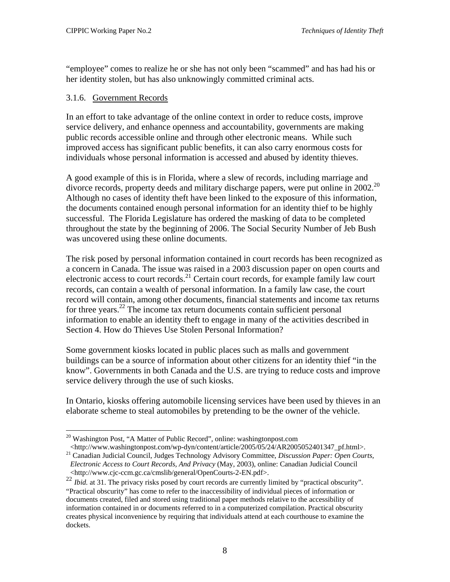<span id="page-13-0"></span>"employee" comes to realize he or she has not only been "scammed" and has had his or her identity stolen, but has also unknowingly committed criminal acts.

#### 3.1.6. Government Records

1

In an effort to take advantage of the online context in order to reduce costs, improve service delivery, and enhance openness and accountability, governments are making public records accessible online and through other electronic means. While such improved access has significant public benefits, it can also carry enormous costs for individuals whose personal information is accessed and abused by identity thieves.

A good example of this is in Florida, where a slew of records, including marriage and divorce records, property deeds and military discharge papers, were put online in  $2002$  $2002$ <sup>20</sup> Although no cases of identity theft have been linked to the exposure of this information, the documents contained enough personal information for an identity thief to be highly successful. The Florida Legislature has ordered the masking of data to be completed throughout the state by the beginning of 2006. The Social Security Number of Jeb Bush was uncovered using these online documents.

The risk posed by personal information contained in court records has been recognized as a concern in Canada. The issue was raised in a 2003 discussion paper on open courts and electronic access to court records.<sup>21</sup> Certain court records, for example family law court records, can contain a wealth of personal information. In a family law case, the court record will contain, among other documents, financial statements and income tax returns for three years.<sup>22</sup> The income tax return documents contain sufficient personal information to enable an identity theft to engage in many of the activities described in Section [4. How do Thieves Use Stolen Personal Information?](#page-27-1) 

Some government kiosks located in public places such as malls and government buildings can be a source of information about other citizens for an identity thief "in the know". Governments in both Canada and the U.S. are trying to reduce costs and improve service delivery through the use of such kiosks.

In Ontario, kiosks offering automobile licensing services have been used by thieves in an elaborate scheme to steal automobiles by pretending to be the owner of the vehicle.

<http://www.washingtonpost.com/wp-dyn/content/article/2005/05/24/AR2005052401347\_pf.html>. 21 Canadian Judicial Council, Judges Technology Advisory Committee, *Discussion Paper: Open Courts,* 

<span id="page-13-1"></span><sup>20</sup> Washington Post, "A Matter of Public Record"*,* online: washingtonpost.com

<span id="page-13-2"></span>*Electronic Access to Court Records, And Privacy* (May, 2003), online: Canadian Judicial Council <http://www.cjc-ccm.gc.ca/cmslib/general/OpenCourts-2-EN.pdf>.

<span id="page-13-3"></span><sup>&</sup>lt;sup>22</sup> *Ibid.* at 31. The privacy risks posed by court records are currently limited by "practical obscurity". "Practical obscurity" has come to refer to the inaccessibility of individual pieces of information or documents created, filed and stored using traditional paper methods relative to the accessibility of information contained in or documents referred to in a computerized compilation. Practical obscurity creates physical inconvenience by requiring that individuals attend at each courthouse to examine the dockets.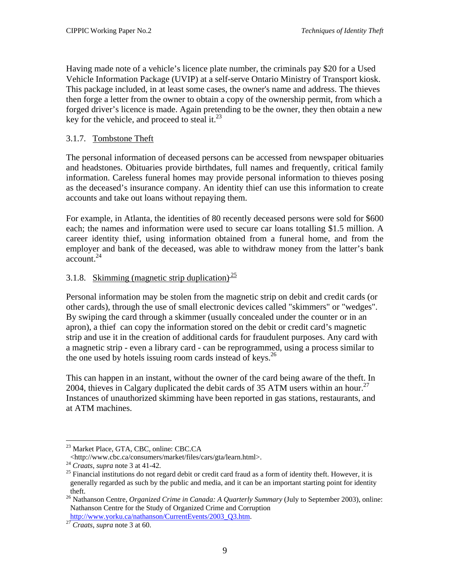<span id="page-14-0"></span>Having made note of a vehicle's licence plate number, the criminals pay \$20 for a Used Vehicle Information Package (UVIP) at a self-serve Ontario Ministry of Transport kiosk. This package included, in at least some cases, the owner's name and address. The thieves then forge a letter from the owner to obtain a copy of the ownership permit, from which a forged driver's licence is made. Again pretending to be the owner, they then obtain a new key for the vehicle, and proceed to steal it. $^{23}$ 

#### 3.1.7. Tombstone Theft

The personal information of deceased persons can be accessed from newspaper obituaries and headstones. Obituaries provide birthdates, full names and frequently, critical family information. Careless funeral homes may provide personal information to thieves posing as the deceased's insurance company. An identity thief can use this information to create accounts and take out loans without repaying them.

For example, in Atlanta, the identities of 80 recently deceased persons were sold for \$600 each; the names and information were used to secure car loans totalling \$1.5 million. A career identity thief, using information obtained from a funeral home, and from the employer and bank of the deceased, was able to withdraw money from the latter's bank account. $24$ 

#### 3.1.8. Skimming (magnetic strip duplication) $\frac{25}{2}$  $\frac{25}{2}$  $\frac{25}{2}$

Personal information may be stolen from the magnetic strip on debit and credit cards (or other cards), through the use of small electronic devices called "skimmers" or "wedges". By swiping the card through a skimmer (usually concealed under the counter or in an apron), a thief can copy the information stored on the debit or credit card's magnetic strip and use it in the creation of additional cards for fraudulent purposes. Any card with a magnetic strip - even a library card - can be reprogrammed, using a process similar to the one used by hotels issuing room cards instead of keys.<sup>[26](#page-14-4)</sup>

This can happen in an instant, without the owner of the card being aware of the theft. In 2004, thieves in Calgary duplicated the debit cards of 35 ATM users within an hour.<sup>[27](#page-14-5)</sup> Instances of unauthorized skimming have been reported in gas stations, restaurants, and at ATM machines.

1

<span id="page-14-1"></span>

<sup>&</sup>lt;sup>23</sup> Market Place, GTA, CBC, online: CBC.CA<br>
<http://www.cbc.ca/consumers/market/files/cars/gta/learn.html>.

<span id="page-14-3"></span><span id="page-14-2"></span>

 $\frac{24}{2}$  *Craats, supra* note 3 at 41-42. <sup>25</sup> Financial institutions do not regard debit or credit card fraud as a form of identity theft. However, it is generally regarded as such by the public and media, and it can be an important starting point for identity

<span id="page-14-4"></span>theft. 26 Nathanson Centre, *Organized Crime in Canada: A Quarterly Summary* (July to September 2003), online: Nathanson Centre for the Study of Organized Crime and Corruption [http://www.yorku.ca/nathanson/CurrentEvents/2003\\_Q3.htm](http://www.yorku.ca/nathanson/CurrentEvents/2003_Q3.htm). 2[7](http://www.yorku.ca/nathanson/CurrentEvents/2003_Q3.htm) *Craats*, *supra* note 3 at 60.

<span id="page-14-5"></span>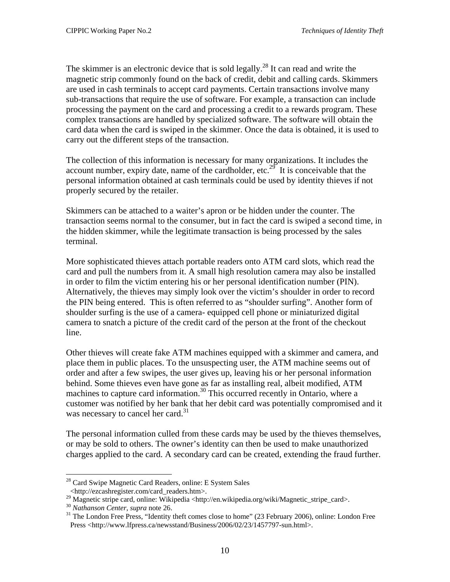The skimmer is an electronic device that is sold legally.<sup>28</sup> It can read and write the magnetic strip commonly found on the back of credit, debit and calling cards. Skimmers are used in cash terminals to accept card payments. Certain transactions involve many sub-transactions that require the use of software. For example, a transaction can include processing the payment on the card and processing a credit to a rewards program. These complex transactions are handled by specialized software. The software will obtain the card data when the card is swiped in the skimmer. Once the data is obtained, it is used to carry out the different steps of the transaction.

The collection of this information is necessary for many organizations. It includes the account number, expiry date, name of the cardholder, etc.<sup>29</sup> It is conceivable that the personal information obtained at cash terminals could be used by identity thieves if not properly secured by the retailer.

Skimmers can be attached to a waiter's apron or be hidden under the counter. The transaction seems normal to the consumer, but in fact the card is swiped a second time, in the hidden skimmer, while the legitimate transaction is being processed by the sales terminal.

More sophisticated thieves attach portable readers onto ATM card slots, which read the card and pull the numbers from it. A small high resolution camera may also be installed in order to film the victim entering his or her personal identification number (PIN). Alternatively, the thieves may simply look over the victim's shoulder in order to record the PIN being entered. This is often referred to as "shoulder surfing". Another form of shoulder surfing is the use of a camera- equipped cell phone or miniaturized digital camera to snatch a picture of the credit card of the person at the front of the checkout line.

Other thieves will create fake ATM machines equipped with a skimmer and camera, and place them in public places. To the unsuspecting user, the ATM machine seems out of order and after a few swipes, the user gives up, leaving his or her personal information behind. Some thieves even have gone as far as installing real, albeit modified, ATM machines to capture card information.<sup>30</sup> This occurred recently in Ontario, where a customer was notified by her bank that her debit card was potentially compromised and it was necessary to cancel her card.<sup>31</sup>

The personal information culled from these cards may be used by the thieves themselves, or may be sold to others. The owner's identity can then be used to make unauthorized charges applied to the card. A secondary card can be created, extending the fraud further.

<span id="page-15-0"></span> $\overline{a}$ <sup>28</sup> Card Swipe Magnetic Card Readers, online: E System Sales

<sup>&</sup>lt;http://ezcashregister.com/card\_readers.htm>.

<span id="page-15-1"></span><sup>&</sup>lt;sup>29</sup> Magnetic stripe card, online: Wikipedia <http://en.wikipedia.org/wiki/Magnetic\_stripe\_card>.<br><sup>30</sup> Nathanson Center, supra note 26.<br><sup>31</sup> The London Free Press, "Identity theft comes close to home" (23 February 2006), o

<span id="page-15-2"></span>

<span id="page-15-3"></span>Press <http://www.lfpress.ca/newsstand/Business/2006/02/23/1457797-sun.html>.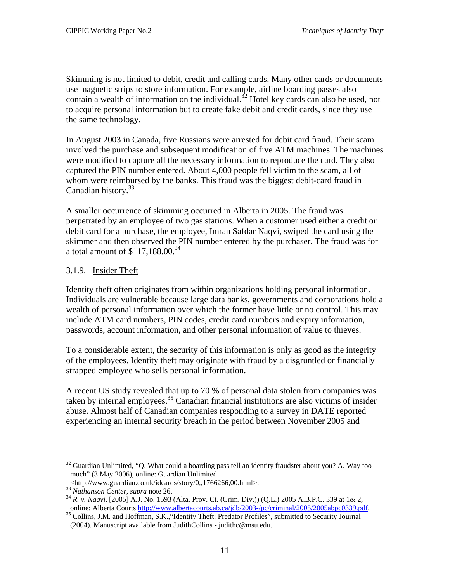<span id="page-16-0"></span>Skimming is not limited to debit, credit and calling cards. Many other cards or documents use magnetic strips to store information. For example, airline boarding passes also contain a wealth of information on the individual.<sup>32</sup> Hotel key cards can also be used, not to acquire personal information but to create fake debit and credit cards, since they use the same technology.

In August 2003 in Canada, five Russians were arrested for debit card fraud. Their scam involved the purchase and subsequent modification of five ATM machines. The machines were modified to capture all the necessary information to reproduce the card. They also captured the PIN number entered. About 4,000 people fell victim to the scam, all of whom were reimbursed by the banks. This fraud was the biggest debit-card fraud in Canadian history.<sup>[33](#page-16-2)</sup>

A smaller occurrence of skimming occurred in Alberta in 2005. The fraud was perpetrated by an employee of two gas stations. When a customer used either a credit or debit card for a purchase, the employee, Imran Safdar Naqvi, swiped the card using the skimmer and then observed the PIN number entered by the purchaser. The fraud was for a total amount of  $$117,188.00.^{34}$  $$117,188.00.^{34}$  $$117,188.00.^{34}$ 

#### 3.1.9. Insider Theft

Identity theft often originates from within organizations holding personal information. Individuals are vulnerable because large data banks, governments and corporations hold a wealth of personal information over which the former have little or no control. This may include ATM card numbers, PIN codes, credit card numbers and expiry information, passwords, account information, and other personal information of value to thieves.

To a considerable extent, the security of this information is only as good as the integrity of the employees. Identity theft may originate with fraud by a disgruntled or financially strapped employee who sells personal information.

A recent US study revealed that up to 70 % of personal data stolen from companies was taken by internal employees.<sup>35</sup> Canadian financial institutions are also victims of insider abuse. Almost half of Canadian companies responding to a survey in DATE reported experiencing an internal security breach in the period between November 2005 and

1

<span id="page-16-1"></span> $32$  Guardian Unlimited, "Q. What could a boarding pass tell an identity fraudster about you? A. Way too much" (3 May 2006), online: Guardian Unlimited

<span id="page-16-3"></span><span id="page-16-2"></span>

<sup>&</sup>lt;http://www.guardian.co.uk/idcards/story/0,,1766266,00.html>. 33 *Nathanson Center*, *supra* note 26. 34 *R. v. Naqvi*, [2005] A.J. No. 1593 (Alta. Prov. Ct. (Crim. Div.)) (Q.L.) 2005 A.B.P.C. 339 at 1& 2,

<span id="page-16-4"></span><sup>&</sup>lt;sup>35</sup> Collins, J.M. and Hoffman, S.K., "Identity Theft: Predator Profiles", submitted to Security Journal (2004). Manuscript available from JudithCollins - judithc@msu.edu.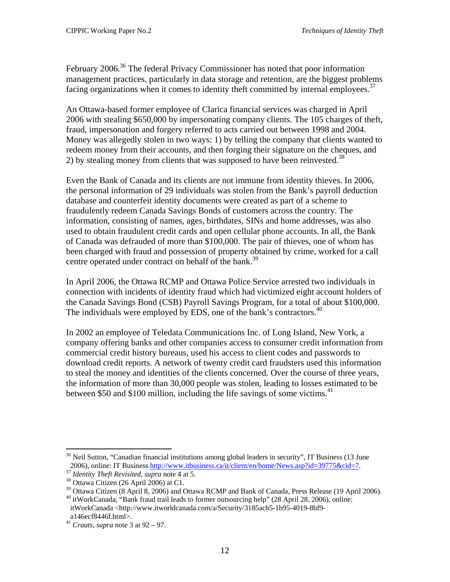February 2006.<sup>36</sup> The federal Privacy Commissioner has noted that poor information management practices, particularly in data storage and retention, are the biggest problems facing organizations when it comes to identity theft committed by internal employees.<sup>37</sup>

An Ottawa-based former employee of Clarica financial services was charged in April 2006 with stealing \$650,000 by impersonating company clients. The 105 charges of theft, fraud, impersonation and forgery referred to acts carried out between 1998 and 2004. Money was allegedly stolen in two ways: 1) by telling the company that clients wanted to redeem money from their accounts, and then forging their signature on the cheques, and 2) by stealing money from clients that was supposed to have been reinvested.<sup>[38](#page-17-2)</sup>

Even the Bank of Canada and its clients are not immune from identity thieves. In 2006, the personal information of 29 individuals was stolen from the Bank's payroll deduction database and counterfeit identity documents were created as part of a scheme to fraudulently redeem Canada Savings Bonds of customers across the country. The information, consisting of names, ages, birthdates, SINs and home addresses, was also used to obtain fraudulent credit cards and open cellular phone accounts. In all, the Bank of Canada was defrauded of more than \$100,000. The pair of thieves, one of whom has been charged with fraud and possession of property obtained by crime, worked for a call centre operated under contract on behalf of the bank.<sup>[39](#page-17-3)</sup>

In April 2006, the Ottawa RCMP and Ottawa Police Service arrested two individuals in connection with incidents of identity fraud which had victimized eight account holders of the Canada Savings Bond (CSB) Payroll Savings Program, for a total of about \$100,000. The individuals were employed by EDS, one of the bank's contractors.<sup>[40](#page-17-4)</sup>

In 2002 an employee of Teledata Communications Inc. of Long Island, New York, a company offering banks and other companies access to consumer credit information from commercial credit history bureaus, used his access to client codes and passwords to download credit reports. A network of twenty credit card fraudsters used this information to steal the money and identities of the clients concerned. Over the course of three years, the information of more than 30,000 people was stolen, leading to losses estimated to be between \$50 and \$100 million, including the life savings of some victims.<sup>[41](#page-17-5)</sup>

<span id="page-17-0"></span> $36$  Neil Sutton, "Canadian financial institutions among global leaders in security", IT Business (13 June) 2006), online: IT Business  $\frac{http://www.itbusiness.ca/it/client/en/home/News.argv?id=39775&cid=7}{1/400}$ .<br>
<sup>37</sup> *Identity Theft Revisited, supra* note 4 at 5.<br>
<sup>38</sup> Ottawa Citizen (26 April 2006) at C1.<br>
<sup>39</sup> Ottawa Citizen (8 April 8, 2006) and Ottawa RCM

<span id="page-17-1"></span>

<span id="page-17-2"></span>

<span id="page-17-3"></span>

<span id="page-17-4"></span>itWorkCanada <http://www.itworldcanada.com/a/Security/3185acb5-1b95-4019-8bf9-

<span id="page-17-5"></span>

a146ecf8446f.html>. 41 *Craats*, *supra* note 3 at 92 – 97.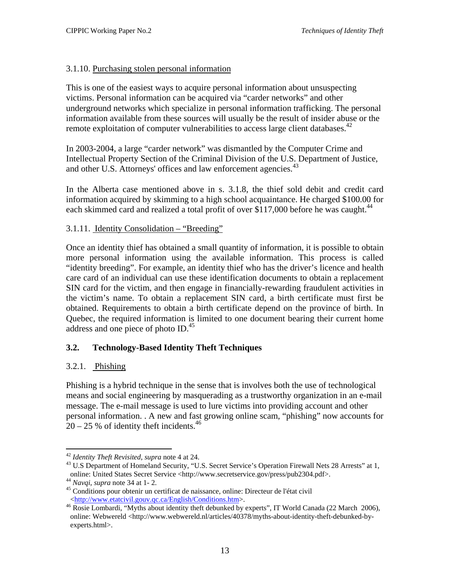#### <span id="page-18-0"></span>3.1.10. Purchasing stolen personal information

This is one of the easiest ways to acquire personal information about unsuspecting victims. Personal information can be acquired via "carder networks" and other underground networks which specialize in personal information trafficking. The personal information available from these sources will usually be the result of insider abuse or the remote exploitation of computer vulnerabilities to access large client databases.<sup>42</sup>

In 2003-2004, a large "carder network" was dismantled by the Computer Crime and Intellectual Property Section of the Criminal Division of the U.S. Department of Justice, and other U.S. Attorneys' offices and law enforcement agencies.<sup>43</sup>

In the Alberta case mentioned above in s. 3.1.8, the thief sold debit and credit card information acquired by skimming to a high school acquaintance. He charged \$100.00 for each skimmed card and realized a total profit of over \$117,000 before he was caught.<sup>[44](#page-18-3)</sup>

#### 3.1.11. Identity Consolidation – "Breeding"

Once an identity thief has obtained a small quantity of information, it is possible to obtain more personal information using the available information. This process is called "identity breeding". For example, an identity thief who has the driver's licence and health care card of an individual can use these identification documents to obtain a replacement SIN card for the victim, and then engage in financially-rewarding fraudulent activities in the victim's name. To obtain a replacement SIN card, a birth certificate must first be obtained. Requirements to obtain a birth certificate depend on the province of birth. In Quebec, the required information is limited to one document bearing their current home address and one piece of photo ID.<sup>[45](#page-18-4)</sup>

#### **3.2. Technology-Based Identity Theft Techniques**

#### 3.2.1. Phishing

Phishing is a hybrid technique in the sense that is involves both the use of technological means and social engineering by masquerading as a trustworthy organization in an e-mail message. The e-mail message is used to lure victims into providing account and other personal information. . A new and fast growing online scam, "phishing" now accounts for  $20 - 25$  % of identity theft incidents.<sup>46</sup>

<sup>1</sup> 

<span id="page-18-2"></span><span id="page-18-1"></span><sup>&</sup>lt;sup>42</sup> *Identity Theft Revisited, supra* note 4 at 24.<br><sup>43</sup> U.S Department of Homeland Security, "U.S. Secret Service's Operation Firewall Nets 28 Arrests" at 1, online: United States Secret Service <http://www.secretservice.gov/press/pub2304.pdf>.<br><sup>44</sup> *Navqi*, *supra* note 34 at 1- 2.<br><sup>45</sup> Conditions pour obtenir un certificat de naissance, online: Directeur de l'état civil

<span id="page-18-3"></span>

<span id="page-18-4"></span>

<span id="page-18-5"></span>[<sup>&</sup>lt;http://www.etatcivil.gouv.qc.ca/English/Conditions.htm](http://www.etatcivil.gouv.qc.ca/English/Conditions.htm)>. 46 Rosie Lombardi, "Myths about identity theft debunked by experts", IT World Canada (22 March 2006), online: Webwereld <http://www.webwereld.nl/articles/40378/myths-about-identity-theft-debunked-byexperts.html>.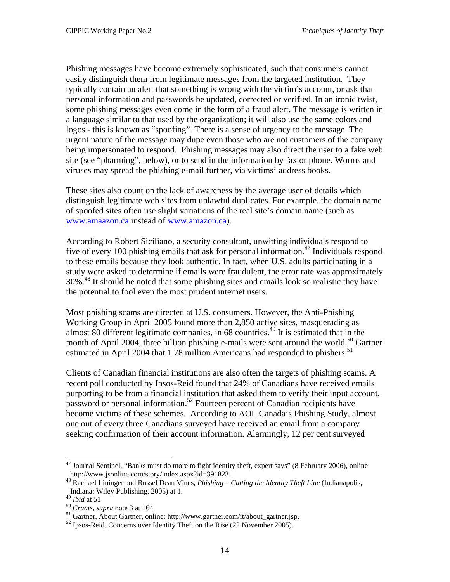Phishing messages have become extremely sophisticated, such that consumers cannot easily distinguish them from legitimate messages from the targeted institution. They typically contain an alert that something is wrong with the victim's account, or ask that personal information and passwords be updated, corrected or verified. In an ironic twist, some phishing messages even come in the form of a fraud alert. The message is written in a language similar to that used by the organization; it will also use the same colors and logos - this is known as "spoofing". There is a sense of urgency to the message. The urgent nature of the message may dupe even those who are not customers of the company being impersonated to respond. Phishing messages may also direct the user to a fake web site (see "pharming", below), or to send in the information by fax or phone. Worms and viruses may spread the phishing e-mail further, via victims' address books.

These sites also count on the lack of awareness by the average user of details which distinguish legitimate web sites from unlawful duplicates. For example, the domain name of spoofed sites often use slight variations of the real site's domain name (such as [www.amaazon.ca](http://www.amaazon.ca/) instead of [www.amazon.ca](http://www.amazon.ca/)).

According to Robert Siciliano, a security consultant, unwitting individuals respond to five of every 100 phishing emails that ask for personal information.<sup>47</sup> Individuals respond to these emails because they look authentic. In fact, when U.S. adults participating in a study were asked to determine if emails were fraudulent, the error rate was approximately 30%<sup>48</sup> It should be noted that some phishing sites and emails look so realistic they have the potential to fool even the most prudent internet users.

Most phishing scams are directed at U.S. consumers. However, the Anti-Phishing Working Group in April 2005 found more than 2,850 active sites, masquerading as almost 80 different legitimate companies, in 68 countries.<sup>49</sup> It is estimated that in the month of April 2004, three billion phishing e-mails were sent around the world.<sup>50</sup> Gartner estimated in April 2004 that 1.78 million Americans had responded to phishers.<sup>51</sup>

Clients of Canadian financial institutions are also often the targets of phishing scams. A recent poll conducted by Ipsos-Reid found that 24% of Canadians have received emails purporting to be from a financial institution that asked them to verify their input account, password or personal information.<sup>52</sup> Fourteen percent of Canadian recipients have become victims of these schemes. According to AOL Canada's Phishing Study, almost one out of every three Canadians surveyed have received an email from a company seeking confirmation of their account information. Alarmingly, 12 per cent surveyed

<span id="page-19-0"></span><sup>&</sup>lt;sup>47</sup> Journal Sentinel, "Banks must do more to fight identity theft, expert says" (8 February 2006), online:<br>http://www.jsonline.com/story/index.aspx?id=391823.

<span id="page-19-1"></span><sup>&</sup>lt;sup>48</sup> Rachael Lininger and Russel Dean Vines, *Phishing – Cutting the Identity Theft Line* (Indianapolis, Indiana: Wiley Publishing, 2005) at 1.<br> $^{49}$  Ibid at 51

<span id="page-19-2"></span>

<span id="page-19-4"></span><span id="page-19-3"></span>

<sup>&</sup>lt;sup>50</sup> *Craats*, *supra* note 3 at 164.<br><sup>51</sup> Gartner, About Gartner, online: http://www.gartner.com/it/about\_gartner.jsp. 52 Ipsos-Reid, Concerns over Identity Theft on the Rise (22 November 2005).

<span id="page-19-5"></span>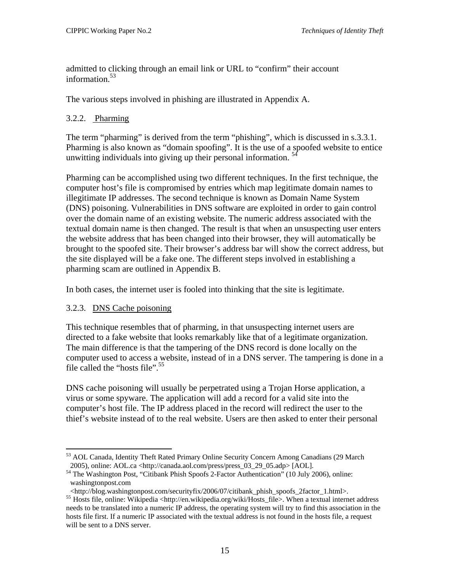<span id="page-20-0"></span>admitted to clicking through an email link or URL to "confirm" their account information.<sup>53</sup>

The various steps involved in phishing are illustrated in Appendix A.

#### 3.2.2. Pharming

The term "pharming" is derived from the term "phishing", which is discussed in s.3.3.1. Pharming is also known as "domain spoofing". It is the use of a spoofed website to entice unwitting individuals into giving up their personal information. [54](#page-20-2)

Pharming can be accomplished using two different techniques. In the first technique, the computer host's file is compromised by entries which map legitimate domain names to illegitimate IP addresses. The second technique is known as Domain Name System (DNS) poisoning. Vulnerabilities in DNS software are exploited in order to gain control over the domain name of an existing website. The numeric address associated with the textual domain name is then changed. The result is that when an unsuspecting user enters the website address that has been changed into their browser, they will automatically be brought to the spoofed site. Their browser's address bar will show the correct address, but the site displayed will be a fake one. The different steps involved in establishing a pharming scam are outlined in Appendix B.

In both cases, the internet user is fooled into thinking that the site is legitimate.

#### 3.2.3. DNS Cache poisoning

 $\overline{a}$ 

This technique resembles that of pharming, in that unsuspecting internet users are directed to a fake website that looks remarkably like that of a legitimate organization. The main difference is that the tampering of the DNS record is done locally on the computer used to access a website, instead of in a DNS server. The tampering is done in a file called the "hosts file". $55$ 

DNS cache poisoning will usually be perpetrated using a Trojan Horse application, a virus or some spyware. The application will add a record for a valid site into the computer's host file. The IP address placed in the record will redirect the user to the thief's website instead of to the real website. Users are then asked to enter their personal

<span id="page-20-1"></span><sup>53</sup> AOL Canada, Identity Theft Rated Primary Online Security Concern Among Canadians (29 March

<span id="page-20-2"></span><sup>2005),</sup> online: AOL.ca <http://canada.aol.com/press/press\_03\_29\_05.adp> [AOL]. 54 The Washington Post, "Citibank Phish Spoofs 2-Factor Authentication" (10 July 2006), online: washingtonpost.com

<span id="page-20-3"></span>

<sup>&</sup>lt;http://blog.washingtonpost.com/securityfix/2006/07/citibank\_phish\_spoofs\_2factor\_1.html>. 55 Hosts file, online: Wikipedia <http://en.wikipedia.org/wiki/Hosts\_file>. When a textual internet address needs to be translated into a numeric IP address, the operating system will try to find this association in the hosts file first. If a numeric IP associated with the textual address is not found in the hosts file, a request will be sent to a DNS server.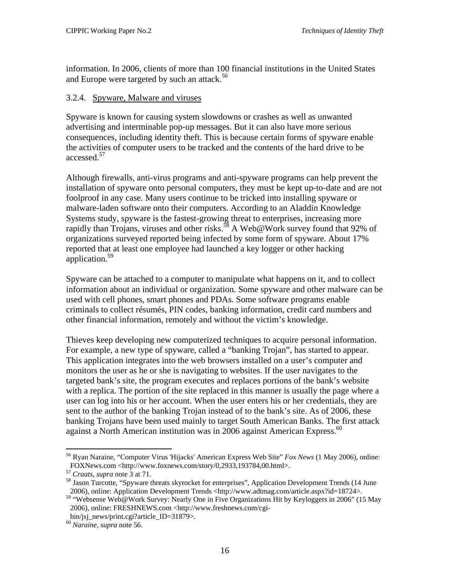<span id="page-21-0"></span>information. In 2006, clients of more than 100 financial institutions in the United States and Europe were targeted by such an attack.<sup>[56](#page-21-1)</sup>

#### 3.2.4. Spyware, Malware and viruses

Spyware is known for causing system slowdowns or crashes as well as unwanted advertising and interminable pop-up messages. But it can also have more serious consequences, including identity theft. This is because certain forms of spyware enable the activities of computer users to be tracked and the contents of the hard drive to be accessed.<sup>[57](#page-21-2)</sup>

Although firewalls, anti-virus programs and anti-spyware programs can help prevent the installation of spyware onto personal computers, they must be kept up-to-date and are not foolproof in any case. Many users continue to be tricked into installing spyware or malware-laden software onto their computers. According to an Aladdin Knowledge Systems study, spyware is the fastest-growing threat to enterprises, increasing more rapidly than Trojans, viruses and other risks.<sup>58</sup> A Web@Work survey found that 92% of organizations surveyed reported being infected by some form of spyware. About 17% reported that at least one employee had launched a key logger or other hacking application.[59](#page-21-4)

Spyware can be attached to a computer to manipulate what happens on it, and to collect information about an individual or organization. Some spyware and other malware can be used with cell phones, smart phones and PDAs. Some software programs enable criminals to collect résumés, PIN codes, banking information, credit card numbers and other financial information, remotely and without the victim's knowledge.

Thieves keep developing new computerized techniques to acquire personal information. For example, a new type of spyware, called a "banking Trojan", has started to appear. This application integrates into the web browsers installed on a user's computer and monitors the user as he or she is navigating to websites. If the user navigates to the targeted bank's site, the program executes and replaces portions of the bank's website with a replica. The portion of the site replaced in this manner is usually the page where a user can log into his or her account. When the user enters his or her credentials, they are sent to the author of the banking Trojan instead of to the bank's site. As of 2006, these banking Trojans have been used mainly to target South American Banks. The first attack against a North American institution was in 2006 against American Express.<sup>[60](#page-21-5)</sup>

<span id="page-21-1"></span><sup>56</sup> Ryan Naraine, "Computer Virus 'Hijacks' American Express Web Site" *Fox News* (1 May 2006), online: FOXNews.com <http://www.foxnews.com/story/0,2933,193784,00.html>.<br><sup>57</sup> *Craats*, *supra* note 3 at 71.<br><sup>58</sup> Jason Turcotte, "Spyware threats skyrocket for enterprises", Application Development Trends (14 June

<span id="page-21-2"></span>

<span id="page-21-3"></span>

<span id="page-21-4"></span><sup>2006),</sup> online: Application Development Trends <http://www.adtmag.com/article.aspx?id=18724>. 59 "Websense Web@Work Survey: Nearly One in Five Organizations Hit by Keyloggers in 2006" (15 May 2006), online: FRESHNEWS.com <http://www.freshnews.com/cgi-

bin/jsj\_news/print.cgi?article\_ID=31879>. 60 *Naraine, supra* note 56.

<span id="page-21-5"></span>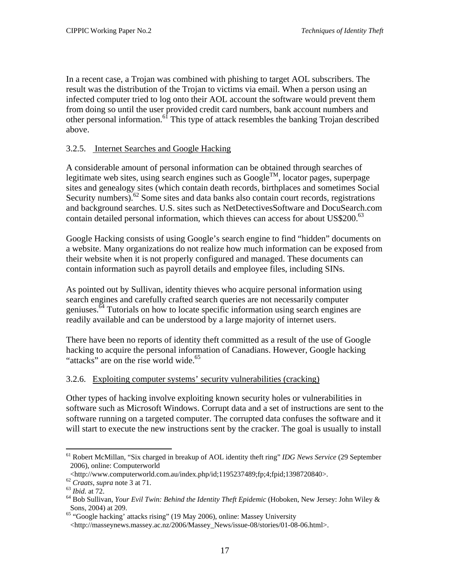<span id="page-22-0"></span>In a recent case, a Trojan was combined with phishing to target AOL subscribers. The result was the distribution of the Trojan to victims via email. When a person using an infected computer tried to log onto their AOL account the software would prevent them from doing so until the user provided credit card numbers, bank account numbers and other personal information.<sup>61</sup> This type of attack resembles the banking Trojan described above.

#### 3.2.5. Internet Searches and Google Hacking

A considerable amount of personal information can be obtained through searches of legitimate web sites, using search engines such as Google<sup>TM</sup>, locator pages, superpage sites and genealogy sites (which contain death records, birthplaces and sometimes Social Security numbers). $62$  Some sites and data banks also contain court records, registrations and background searches. U.S. sites such as NetDetectivesSoftware and DocuSearch.com contain detailed personal information, which thieves can access for about US\$200.<sup>[63](#page-22-3)</sup>

Google Hacking consists of using Google's search engine to find "hidden" documents on a website. Many organizations do not realize how much information can be exposed from their website when it is not properly configured and managed. These documents can contain information such as payroll details and employee files, including SINs.

As pointed out by Sullivan, identity thieves who acquire personal information using search engines and carefully crafted search queries are not necessarily computer geniuses.[64](#page-22-4) Tutorials on how to locate specific information using search engines are readily available and can be understood by a large majority of internet users.

There have been no reports of identity theft committed as a result of the use of Google hacking to acquire the personal information of Canadians. However, Google hacking "attacks" are on the rise world wide.<sup>65</sup>

#### 3.2.6. Exploiting computer systems' security vulnerabilities (cracking)

Other types of hacking involve exploiting known security holes or vulnerabilities in software such as Microsoft Windows. Corrupt data and a set of instructions are sent to the software running on a targeted computer. The corrupted data confuses the software and it will start to execute the new instructions sent by the cracker. The goal is usually to install

<span id="page-22-1"></span><sup>1</sup> 61 Robert McMillan, "Six charged in breakup of AOL identity theft ring" *IDG News Service* (29 September 2006), online: Computerworld<br>
<http://www.computerworld.com.au/index.php/id:1195237489:fp:4:fpid:1398720840>.

<span id="page-22-2"></span>

<span id="page-22-4"></span><span id="page-22-3"></span>

<sup>&</sup>lt;sup>62</sup> Craats, supra note 3 at 71.<br>
<sup>63</sup> Ibid. at 72.<br>
<sup>64</sup> Bob Sullivan, *Your Evil Twin: Behind the Identity Theft Epidemic* (Hoboken, New Jersey: John Wiley & Sons, 2004) at 209.

<span id="page-22-5"></span><sup>&</sup>lt;sup>65</sup> "Google hacking' attacks rising" (19 May 2006), online: Massey University

<sup>&</sup>lt;http://masseynews.massey.ac.nz/2006/Massey\_News/issue-08/stories/01-08-06.html>.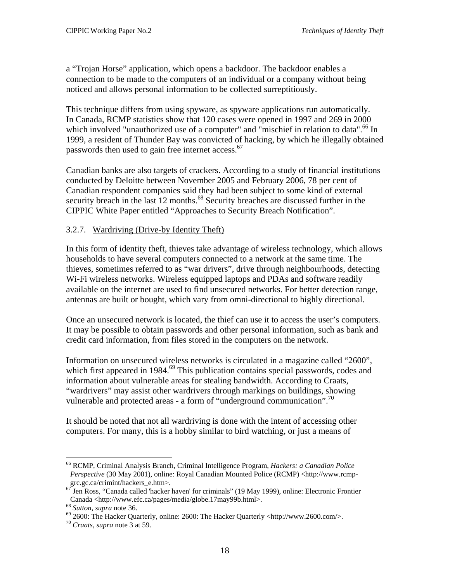<span id="page-23-0"></span>a "Trojan Horse" application, which opens a backdoor. The backdoor enables a connection to be made to the computers of an individual or a company without being noticed and allows personal information to be collected surreptitiously.

This technique differs from using spyware, as spyware applications run automatically. In Canada, RCMP statistics show that 120 cases were opened in 1997 and 269 in 2000 which involved "unauthorized use of a computer" and "mischief in relation to data".<sup>66</sup> In 1999, a resident of Thunder Bay was convicted of hacking, by which he illegally obtained passwords then used to gain free internet access.<sup>[67](#page-23-2)</sup>

Canadian banks are also targets of crackers. According to a study of financial institutions conducted by Deloitte between November 2005 and February 2006, 78 per cent of Canadian respondent companies said they had been subject to some kind of external security breach in the last 12 months.<sup>68</sup> Security breaches are discussed further in the CIPPIC White Paper entitled "Approaches to Security Breach Notification".

#### 3.2.7. Wardriving (Drive-by Identity Theft)

In this form of identity theft, thieves take advantage of wireless technology, which allows households to have several computers connected to a network at the same time. The thieves, sometimes referred to as "war drivers", drive through neighbourhoods, detecting Wi-Fi wireless networks. Wireless equipped laptops and PDAs and software readily available on the internet are used to find unsecured networks. For better detection range, antennas are built or bought, which vary from omni-directional to highly directional.

Once an unsecured network is located, the thief can use it to access the user's computers. It may be possible to obtain passwords and other personal information, such as bank and credit card information, from files stored in the computers on the network.

Information on unsecured wireless networks is circulated in a magazine called "2600", which first appeared in 1984.<sup>69</sup> This publication contains special passwords, codes and information about vulnerable areas for stealing bandwidth. According to Craats, "wardrivers" may assist other wardrivers through markings on buildings, showing vulnerable and protected areas - a form of "underground communication".<sup>[70](#page-23-5)</sup>

It should be noted that not all wardriving is done with the intent of accessing other computers. For many, this is a hobby similar to bird watching, or just a means of

<span id="page-23-1"></span><sup>66</sup> RCMP, Criminal Analysis Branch, Criminal Intelligence Program, *Hackers: a Canadian Police Perspective* (30 May 2001), online: Royal Canadian Mounted Police (RCMP) <http://www.rcmp-

<span id="page-23-2"></span>grc.gc.ca/crimint/hackers\_e.htm>.<br><sup>67</sup> Jen Ross, "Canada called 'hacker haven' for criminals" (19 May 1999), online: Electronic Frontier

<span id="page-23-4"></span><span id="page-23-3"></span>

Canada <http://www.efc.ca/pages/media/globe.17may99b.html>.<br>
<sup>68</sup> Sutton, supra note 36.<br>
<sup>69</sup> 2600: The Hacker Quarterly, online: 2600: The Hacker Quarterly <http://www.2600.com/>.<br>
<sup>70</sup> Craats, supra note 3 at 59.

<span id="page-23-5"></span>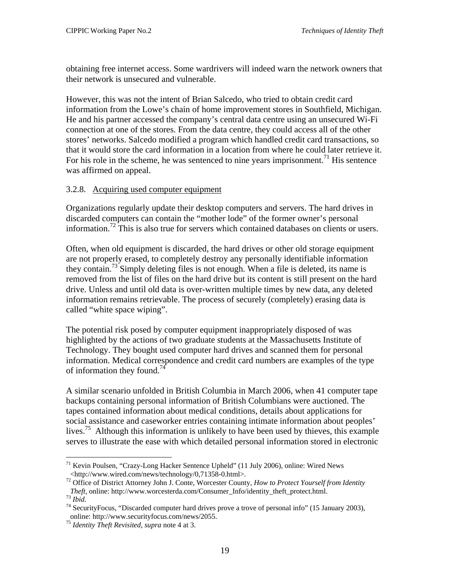<span id="page-24-0"></span>obtaining free internet access. Some wardrivers will indeed warn the network owners that their network is unsecured and vulnerable.

However, this was not the intent of Brian Salcedo, who tried to obtain credit card information from the Lowe's chain of home improvement stores in Southfield, Michigan. He and his partner accessed the company's central data centre using an unsecured Wi-Fi connection at one of the stores. From the data centre, they could access all of the other stores' networks. Salcedo modified a program which handled credit card transactions, so that it would store the card information in a location from where he could later retrieve it. For his role in the scheme, he was sentenced to nine years imprisonment.<sup>71</sup> His sentence was affirmed on appeal.

#### 3.2.8. Acquiring used computer equipment

Organizations regularly update their desktop computers and servers. The hard drives in discarded computers can contain the "mother lode" of the former owner's personal information.<sup>72</sup> This is also true for servers which contained databases on clients or users.

Often, when old equipment is discarded, the hard drives or other old storage equipment are not properly erased, to completely destroy any personally identifiable information they contain. [73](#page-24-3) Simply deleting files is not enough. When a file is deleted, its name is removed from the list of files on the hard drive but its content is still present on the hard drive. Unless and until old data is over-written multiple times by new data, any deleted information remains retrievable. The process of securely (completely) erasing data is called "white space wiping".

The potential risk posed by computer equipment inappropriately disposed of was highlighted by the actions of two graduate students at the Massachusetts Institute of Technology. They bought used computer hard drives and scanned them for personal information. Medical correspondence and credit card numbers are examples of the type of information they found.<sup>74</sup>

A similar scenario unfolded in British Columbia in March 2006, when 41 computer tape backups containing personal information of British Columbians were auctioned. The tapes contained information about medical conditions, details about applications for social assistance and caseworker entries containing intimate information about peoples' lives.<sup>75</sup> Although this information is unlikely to have been used by thieves, this example serves to illustrate the ease with which detailed personal information stored in electronic

<span id="page-24-1"></span><sup>&</sup>lt;sup>71</sup> Kevin Poulsen, "Crazy-Long Hacker Sentence Upheld" (11 July 2006), online: Wired News <http://www.wired.com/news/technology/0,71358-0.html>. 72 Office of District Attorney John J. Conte, Worcester County, *How to Protect Yourself from Identity* 

<span id="page-24-2"></span>*Theft*, online: http://www.worcesterda.com/Consumer\_Info/identity\_theft\_protect.html.<br><sup>73</sup> *Ibid.* 74 SecurityFocus, "Discarded computer hard drives prove a trove of personal info" (15 January 2003),

<span id="page-24-3"></span>

<span id="page-24-4"></span>online: http://www.securityfocus.com/news/2055. <sup>75</sup> *Identity Theft Revisited*, *supra* note 4 at 3.

<span id="page-24-5"></span>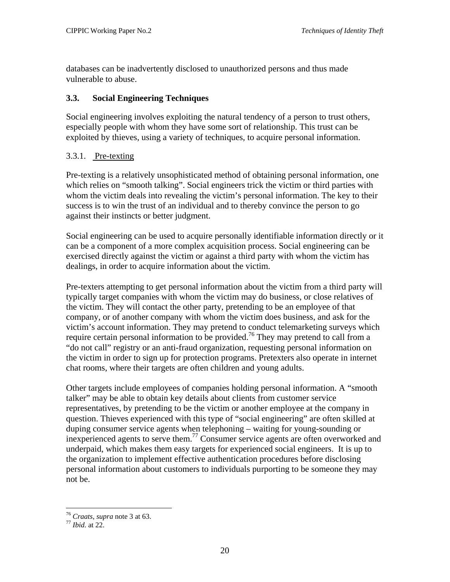<span id="page-25-0"></span>databases can be inadvertently disclosed to unauthorized persons and thus made vulnerable to abuse.

#### **3.3. Social Engineering Techniques**

Social engineering involves exploiting the natural tendency of a person to trust others, especially people with whom they have some sort of relationship. This trust can be exploited by thieves, using a variety of techniques, to acquire personal information.

#### 3.3.1. Pre-texting

Pre-texting is a relatively unsophisticated method of obtaining personal information, one which relies on "smooth talking". Social engineers trick the victim or third parties with whom the victim deals into revealing the victim's personal information. The key to their success is to win the trust of an individual and to thereby convince the person to go against their instincts or better judgment.

Social engineering can be used to acquire personally identifiable information directly or it can be a component of a more complex acquisition process. Social engineering can be exercised directly against the victim or against a third party with whom the victim has dealings, in order to acquire information about the victim.

Pre-texters attempting to get personal information about the victim from a third party will typically target companies with whom the victim may do business, or close relatives of the victim. They will contact the other party, pretending to be an employee of that company, or of another company with whom the victim does business, and ask for the victim's account information. They may pretend to conduct telemarketing surveys which require certain personal information to be provided.<sup>76</sup> They may pretend to call from a "do not call" registry or an anti-fraud organization, requesting personal information on the victim in order to sign up for protection programs. Pretexters also operate in internet chat rooms, where their targets are often children and young adults.

Other targets include employees of companies holding personal information. A "smooth talker" may be able to obtain key details about clients from customer service representatives, by pretending to be the victim or another employee at the company in question. Thieves experienced with this type of "social engineering" are often skilled at duping consumer service agents when telephoning – waiting for young-sounding or inexperienced agents to serve them.<sup>77</sup> Consumer service agents are often overworked and underpaid, which makes them easy targets for experienced social engineers. It is up to the organization to implement effective authentication procedures before disclosing personal information about customers to individuals purporting to be someone they may not be.

1

<span id="page-25-1"></span><sup>76</sup> *Craats*, *supra* note 3 at 63. 77 *Ibid.* at 22.

<span id="page-25-2"></span>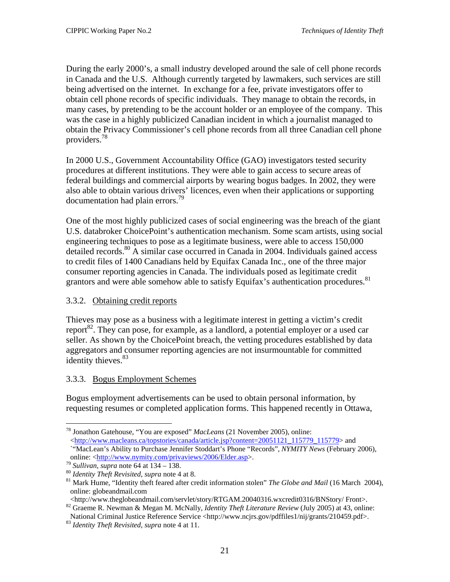<span id="page-26-0"></span>During the early 2000's, a small industry developed around the sale of cell phone records in Canada and the U.S. Although currently targeted by lawmakers, such services are still being advertised on the internet. In exchange for a fee, private investigators offer to obtain cell phone records of specific individuals. They manage to obtain the records, in many cases, by pretending to be the account holder or an employee of the company. This was the case in a highly publicized Canadian incident in which a journalist managed to obtain the Privacy Commissioner's cell phone records from all three Canadian cell phone providers[.78](#page-26-1)

In 2000 U.S., Government Accountability Office (GAO) investigators tested security procedures at different institutions. They were able to gain access to secure areas of federal buildings and commercial airports by wearing bogus badges. In 2002, they were also able to obtain various drivers' licences, even when their applications or supporting documentation had plain errors.<sup>[79](#page-26-2)</sup>

One of the most highly publicized cases of social engineering was the breach of the giant U.S. databroker ChoicePoint's authentication mechanism. Some scam artists, using social engineering techniques to pose as a legitimate business, were able to access 150,000 detailed records.<sup>80</sup> A similar case occurred in Canada in 2004. Individuals gained access to credit files of 1400 Canadians held by Equifax Canada Inc., one of the three major consumer reporting agencies in Canada. The individuals posed as legitimate credit grantors and were able somehow able to satisfy Equifax's authentication procedures.<sup>[81](#page-26-4)</sup>

#### 3.3.2. Obtaining credit reports

Thieves may pose as a business with a legitimate interest in getting a victim's credit report<sup>82</sup>. They can pose, for example, as a landlord, a potential employer or a used car seller. As shown by the ChoicePoint breach, the vetting procedures established by data aggregators and consumer reporting agencies are not insurmountable for committed identity thieves.<sup>[83](#page-26-6)</sup>

#### 3.3.3. Bogus Employment Schemes

Bogus employment advertisements can be used to obtain personal information, by requesting resumes or completed application forms. This happened recently in Ottawa,

<sup>1</sup> 78 Jonathon Gatehouse, "You are exposed" *MacLeans* (21 November 2005), online:

<span id="page-26-1"></span>[<sup>&</sup>lt;http://www.macleans.ca/topstories/canada/article.jsp?content=20051121\\_115779\\_115779>](http://www.macleans.ca/topstories/canada/article.jsp?content=20051121_115779_115779) and

<sup>`&</sup>quot;MacLean's Ability to Purchase Jennifer Stoddart's Phone "Records", *NYMITY News* (February 2006),

<span id="page-26-2"></span>

<span id="page-26-4"></span><span id="page-26-3"></span>

<sup>&</sup>lt;sup>79</sup> Sullivan, supra note 64 at 134 – 138.<br><sup>80</sup> Identity Theft Revisited, supra note 4 at 8.<br><sup>81</sup> Mark Hume, "Identity theft feared after credit information stolen" The Globe and Mail (16 March 2004), online: globeandmail.com<br>
<http://www.theglobeandmail.com/servlet/story/RTGAM.20040316.wxcredit0316/BNStory/Front>.

<sup>82</sup> Graeme R. Newman & Megan M. McNally, *Identity Theft Literature Review* (July 2005) at 43, online:

<span id="page-26-5"></span>National Criminal Justice Reference Service <http://www.ncjrs.gov/pdffiles1/nij/grants/210459.pdf>. 83 *Identity Theft Revisited*, *supra* note 4 at 11.

<span id="page-26-6"></span>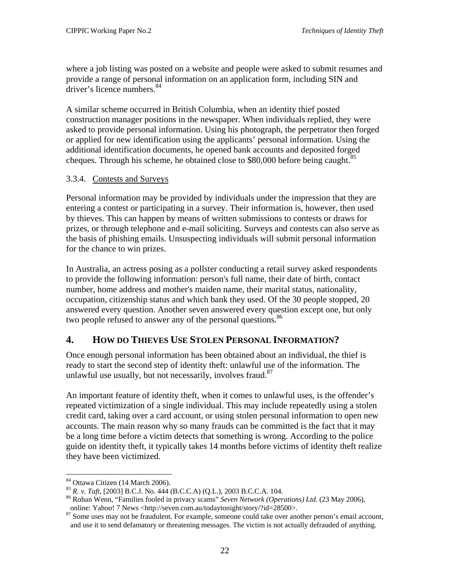<span id="page-27-0"></span>where a job listing was posted on a website and people were asked to submit resumes and provide a range of personal information on an application form, including SIN and driver's licence numbers.<sup>[84](#page-27-2)</sup>

A similar scheme occurred in British Columbia, when an identity thief posted construction manager positions in the newspaper. When individuals replied, they were asked to provide personal information. Using his photograph, the perpetrator then forged or applied for new identification using the applicants' personal information. Using the additional identification documents, he opened bank accounts and deposited forged cheques. Through his scheme, he obtained close to  $$80,000$  before being caught.<sup>[85](#page-27-3)</sup>

#### 3.3.4. Contests and Surveys

Personal information may be provided by individuals under the impression that they are entering a contest or participating in a survey. Their information is, however, then used by thieves. This can happen by means of written submissions to contests or draws for prizes, or through telephone and e-mail soliciting. Surveys and contests can also serve as the basis of phishing emails. Unsuspecting individuals will submit personal information for the chance to win prizes.

In Australia, an actress posing as a pollster conducting a retail survey asked respondents to provide the following information: person's full name, their date of birth, contact number, home address and mother's maiden name, their marital status, nationality, occupation, citizenship status and which bank they used. Of the 30 people stopped, 20 answered every question. Another seven answered every question except one, but only two people refused to answer any of the personal questions.<sup>[86](#page-27-4)</sup>

# <span id="page-27-1"></span>**4. HOW DO THIEVES USE STOLEN PERSONAL INFORMATION?**

Once enough personal information has been obtained about an individual, the thief is ready to start the second step of identity theft: unlawful use of the information. The unlawful use usually, but not necessarily, involves fraud.<sup>[87](#page-27-5)</sup>

An important feature of identity theft, when it comes to unlawful uses, is the offender's repeated victimization of a single individual. This may include repeatedly using a stolen credit card, taking over a card account, or using stolen personal information to open new accounts. The main reason why so many frauds can be committed is the fact that it may be a long time before a victim detects that something is wrong. According to the police guide on identity theft, it typically takes 14 months before victims of identity theft realize they have been victimized.

<span id="page-27-2"></span><sup>&</sup>lt;sup>84</sup> Ottawa Citizen (14 March 2006).

<span id="page-27-4"></span><span id="page-27-3"></span>

<sup>&</sup>lt;sup>85</sup> *R. v. Taft*, [2003] B.C.J. No. 444 (B.C.C.A) (Q.L.), 2003 B.C.C.A. 104. <sup>86</sup> Rohan Wenn, "Families fooled in privacy scams" *Seven Network (Operations) Ltd.* (23 May 2006),

<span id="page-27-5"></span>online: Yahoo! 7 News <http://seven.com.au/todaytonight/story/?id=28500>.<br><sup>87</sup> Some uses may not be fraudulent. For example, someone could take over another person's email account, and use it to send defamatory or threatening messages. The victim is not actually defrauded of anything.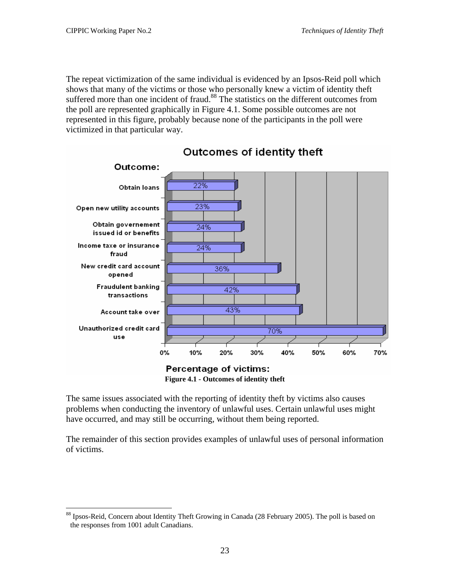$\overline{a}$ 

The repeat victimization of the same individual is evidenced by an Ipsos-Reid poll which shows that many of the victims or those who personally knew a victim of identity theft suffered more than one incident of fraud.<sup>88</sup> The statistics on the different outcomes from the poll are represented graphically in [Figure 4.1.](#page-28-0) Some possible outcomes are not represented in this figure, probably because none of the participants in the poll were victimized in that particular way.



<span id="page-28-0"></span>Outcomes of identity theft

**Figure 4.1 - Outcomes of identity theft** 

The same issues associated with the reporting of identity theft by victims also causes problems when conducting the inventory of unlawful uses. Certain unlawful uses might have occurred, and may still be occurring, without them being reported.

The remainder of this section provides examples of unlawful uses of personal information of victims.

<span id="page-28-1"></span><sup>88</sup> Ipsos-Reid, Concern about Identity Theft Growing in Canada (28 February 2005). The poll is based on the responses from 1001 adult Canadians.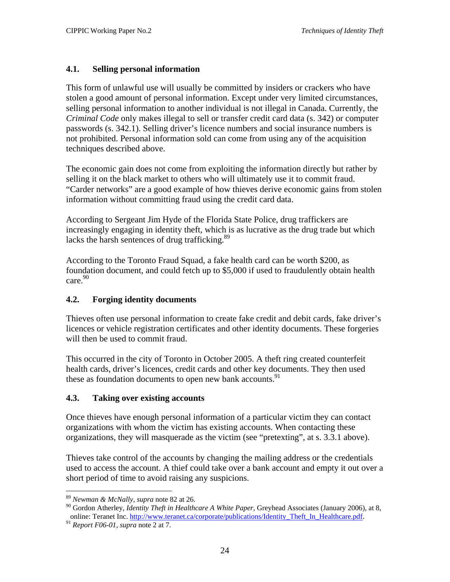#### <span id="page-29-0"></span>**4.1. Selling personal information**

This form of unlawful use will usually be committed by insiders or crackers who have stolen a good amount of personal information. Except under very limited circumstances, selling personal information to another individual is not illegal in Canada. Currently, the *Criminal Code* only makes illegal to sell or transfer credit card data (s. 342) or computer passwords (s. 342.1). Selling driver's licence numbers and social insurance numbers is not prohibited. Personal information sold can come from using any of the acquisition techniques described above.

The economic gain does not come from exploiting the information directly but rather by selling it on the black market to others who will ultimately use it to commit fraud. "Carder networks" are a good example of how thieves derive economic gains from stolen information without committing fraud using the credit card data.

According to Sergeant Jim Hyde of the Florida State Police, drug traffickers are increasingly engaging in identity theft, which is as lucrative as the drug trade but which lacks the harsh sentences of drug trafficking.<sup>[89](#page-29-1)</sup>

According to the Toronto Fraud Squad, a fake health card can be worth \$200, as foundation document, and could fetch up to \$5,000 if used to fraudulently obtain health care[.90](#page-29-2)

#### **4.2. Forging identity documents**

Thieves often use personal information to create fake credit and debit cards, fake driver's licences or vehicle registration certificates and other identity documents. These forgeries will then be used to commit fraud.

This occurred in the city of Toronto in October 2005. A theft ring created counterfeit health cards, driver's licences, credit cards and other key documents. They then used these as foundation documents to open new bank accounts.<sup>91</sup>

#### **4.3. Taking over existing accounts**

Once thieves have enough personal information of a particular victim they can contact organizations with whom the victim has existing accounts. When contacting these organizations, they will masquerade as the victim (see "pretexting", at s. 3.3.1 above).

Thieves take control of the accounts by changing the mailing address or the credentials used to access the account. A thief could take over a bank account and empty it out over a short period of time to avoid raising any suspicions.

<span id="page-29-1"></span><sup>&</sup>lt;sup>89</sup> Newman & McNally, supra note 82 at 26.

<span id="page-29-2"></span><sup>&</sup>lt;sup>90</sup> Gordon Atherley, *Identity Theft in Healthcare A White Paper*, Greyhead Associates (January 2006), at 8, online: Teranet Inc. [http://www.teranet.ca/corporate/publications/Identity\\_Theft\\_In\\_Healthcare.pdf.](http://www.teranet.ca/corporate/publications/Identity_Theft_In_Healthcare.pdf) 91 *Report F06-01*, *supra* note 2 at 7.

<span id="page-29-3"></span>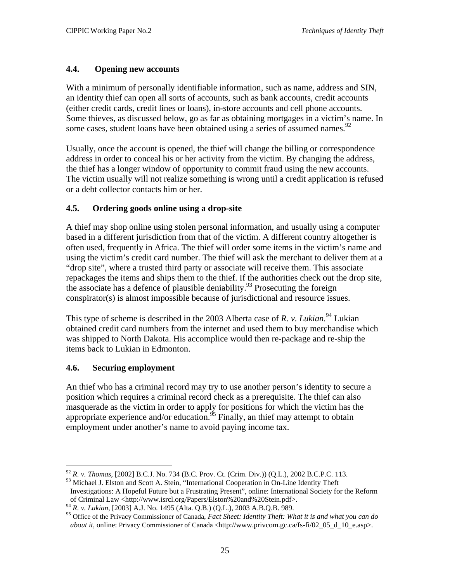#### <span id="page-30-0"></span>**4.4. Opening new accounts**

With a minimum of personally identifiable information, such as name, address and SIN, an identity thief can open all sorts of accounts, such as bank accounts, credit accounts (either credit cards, credit lines or loans), in-store accounts and cell phone accounts. Some thieves, as discussed below, go as far as obtaining mortgages in a victim's name. In some cases, student loans have been obtained using a series of assumed names.<sup>[92](#page-30-1)</sup>

Usually, once the account is opened, the thief will change the billing or correspondence address in order to conceal his or her activity from the victim. By changing the address, the thief has a longer window of opportunity to commit fraud using the new accounts. The victim usually will not realize something is wrong until a credit application is refused or a debt collector contacts him or her.

#### **4.5. Ordering goods online using a drop-site**

A thief may shop online using stolen personal information, and usually using a computer based in a different jurisdiction from that of the victim. A different country altogether is often used, frequently in Africa. The thief will order some items in the victim's name and using the victim's credit card number. The thief will ask the merchant to deliver them at a "drop site", where a trusted third party or associate will receive them. This associate repackages the items and ships them to the thief. If the authorities check out the drop site, the associate has a defence of plausible deniability.<sup>93</sup> Prosecuting the foreign conspirator(s) is almost impossible because of jurisdictional and resource issues.

This type of scheme is described in the 2003 Alberta case of *R. v. Lukian*.<sup>94</sup> Lukian obtained credit card numbers from the internet and used them to buy merchandise which was shipped to North Dakota. His accomplice would then re-package and re-ship the items back to Lukian in Edmonton.

#### **4.6. Securing employment**

An thief who has a criminal record may try to use another person's identity to secure a position which requires a criminal record check as a prerequisite. The thief can also masquerade as the victim in order to apply for positions for which the victim has the appropriate experience and/or education.<sup>95</sup> Finally, an thief may attempt to obtain employment under another's name to avoid paying income tax.

<span id="page-30-1"></span> $\overline{a}$ <sup>92</sup> *R. v. Thomas,* [2002] B.C.J. No. 734 (B.C. Prov. Ct. (Crim. Div.)) (Q.L.), 2002 B.C.P.C. 113.

<span id="page-30-2"></span><sup>93</sup> Michael J. Elston and Scott A. Stein, "International Cooperation in On-Line Identity Theft Investigations: A Hopeful Future but a Frustrating Present", online: International Society for the Reform of Criminal Law <http://www.isrcl.org/Papers/Elston%20and%20Stein.pdf>.<br><sup>94</sup> R. v. Lukian, [2003] A.J. No. 1495 (Alta. Q.B.) (Q.L.), 2003 A.B.Q.B. 989.

<span id="page-30-3"></span>

<span id="page-30-4"></span><sup>&</sup>lt;sup>95</sup> Office of the Privacy Commissioner of Canada, *Fact Sheet: Identity Theft: What it is and what you can do about it*, online: Privacy Commissioner of Canada <http://www.privcom.gc.ca/fs-fi/02\_05\_d\_10\_e.asp>.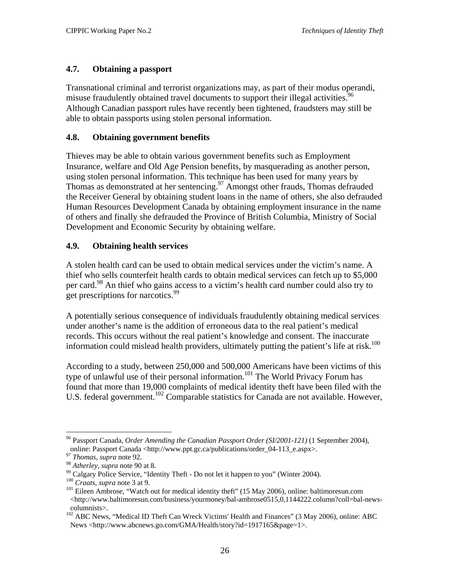#### <span id="page-31-0"></span>**4.7. Obtaining a passport**

Transnational criminal and terrorist organizations may, as part of their modus operandi, misuse fraudulently obtained travel documents to support their illegal activities.<sup>96</sup> Although Canadian passport rules have recently been tightened, fraudsters may still be able to obtain passports using stolen personal information.

#### **4.8. Obtaining government benefits**

Thieves may be able to obtain various government benefits such as Employment Insurance, welfare and Old Age Pension benefits, by masquerading as another person, using stolen personal information. This technique has been used for many years by Thomas as demonstrated at her sentencing.<sup>97</sup> Amongst other frauds, Thomas defrauded the Receiver General by obtaining student loans in the name of others, she also defrauded Human Resources Development Canada by obtaining employment insurance in the name of others and finally she defrauded the Province of British Columbia, Ministry of Social Development and Economic Security by obtaining welfare.

#### **4.9. Obtaining health services**

A stolen health card can be used to obtain medical services under the victim's name. A thief who sells counterfeit health cards to obtain medical services can fetch up to \$5,000 per card.<sup>98</sup> An thief who gains access to a victim's health card number could also try to get prescriptions for narcotics.<sup>99</sup>

A potentially serious consequence of individuals fraudulently obtaining medical services under another's name is the addition of erroneous data to the real patient's medical records. This occurs without the real patient's knowledge and consent. The inaccurate information could mislead health providers, ultimately putting the patient's life at risk.<sup>[100](#page-31-5)</sup>

According to a study, between 250,000 and 500,000 Americans have been victims of this type of unlawful use of their personal information.<sup>101</sup> The World Privacy Forum has found that more than 19,000 complaints of medical identity theft have been filed with the U.S. federal government.<sup>102</sup> Comparable statistics for Canada are not available. However,

1

<span id="page-31-1"></span><sup>96</sup> Passport Canada, *Order Amending the Canadian Passport Order (SI/2001-121)* (1 September 2004),

<span id="page-31-2"></span>

<span id="page-31-3"></span>

<span id="page-31-4"></span>

<span id="page-31-6"></span><span id="page-31-5"></span>

online: Passport Canada <http://www.ppt.gc.ca/publications/order\_04-113\_e.aspx>.<br>
<sup>97</sup> Thomas, supra note 92.<br>
<sup>98</sup> Atherley, supra note 90 at 8.<br>
<sup>99</sup> Calgary Police Service, "Identity Theft - Do not let it happen to you" <http://www.baltimoresun.com/business/yourmoney/bal-ambrose0515,0,1144222.column?coll=bal-news-

<span id="page-31-7"></span>columnists>. 102 ABC News, "Medical ID Theft Can Wreck Victims' Health and Finances" (3 May 2006), online: ABC News <http://www.abcnews.go.com/GMA/Health/story?id=1917165&page=1>.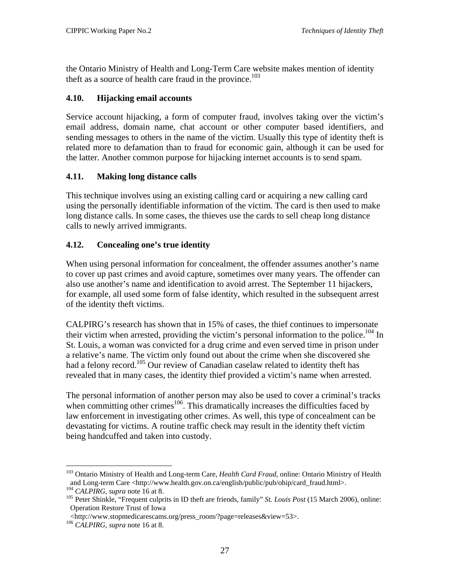<span id="page-32-0"></span>the Ontario Ministry of Health and Long-Term Care website makes mention of identity theft as a source of health care fraud in the province.<sup>103</sup>

#### **4.10. Hijacking email accounts**

Service account hijacking, a form of computer fraud, involves taking over the victim's email address, domain name, chat account or other computer based identifiers, and sending messages to others in the name of the victim. Usually this type of identity theft is related more to defamation than to fraud for economic gain, although it can be used for the latter. Another common purpose for hijacking internet accounts is to send spam.

#### **4.11. Making long distance calls**

This technique involves using an existing calling card or acquiring a new calling card using the personally identifiable information of the victim. The card is then used to make long distance calls. In some cases, the thieves use the cards to sell cheap long distance calls to newly arrived immigrants.

#### **4.12. Concealing one's true identity**

When using personal information for concealment, the offender assumes another's name to cover up past crimes and avoid capture, sometimes over many years. The offender can also use another's name and identification to avoid arrest. The September 11 hijackers, for example, all used some form of false identity, which resulted in the subsequent arrest of the identity theft victims.

CALPIRG's research has shown that in 15% of cases, the thief continues to impersonate their victim when arrested, providing the victim's personal information to the police.<sup>104</sup> In St. Louis, a woman was convicted for a drug crime and even served time in prison under a relative's name. The victim only found out about the crime when she discovered she had a felony record.<sup>105</sup> Our review of Canadian caselaw related to identity theft has revealed that in many cases, the identity thief provided a victim's name when arrested.

The personal information of another person may also be used to cover a criminal's tracks when committing other crimes<sup>106</sup>. This dramatically increases the difficulties faced by law enforcement in investigating other crimes. As well, this type of concealment can be devastating for victims. A routine traffic check may result in the identity theft victim being handcuffed and taken into custody.

<span id="page-32-1"></span> $\overline{a}$ 103 Ontario Ministry of Health and Long-term Care, *Health Card Fraud*, online: Ontario Ministry of Health and Long-term Care <http://www.health.gov.on.ca/english/public/pub/ohip/card\_fraud.html>.<br><sup>104</sup> CALPIRG, supra note 16 at 8.<br><sup>105</sup> Peter Shinkle, "Frequent culprits in ID theft are friends, family" *St. Louis Post* (15 Mar

<span id="page-32-2"></span>

<span id="page-32-3"></span>Operation Restore Trust of Iowa

<sup>&</sup>lt;http://www.stopmedicarescams.org/press\_room/?page=releases&view=53>. 106 *CALPIRG*, *supra* note 16 at 8.

<span id="page-32-4"></span>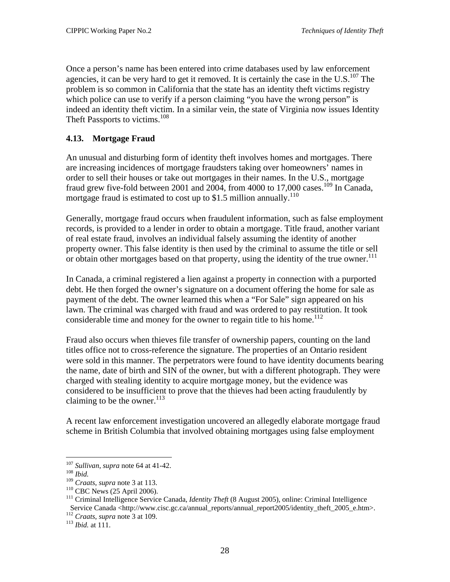<span id="page-33-0"></span>Once a person's name has been entered into crime databases used by law enforcement agencies, it can be very hard to get it removed. It is certainly the case in the  $U.S.<sup>107</sup>$  The problem is so common in California that the state has an identity theft victims registry which police can use to verify if a person claiming "you have the wrong person" is indeed an identity theft victim. In a similar vein, the state of Virginia now issues Identity Theft Passports to victims.<sup>[108](#page-33-2)</sup>

#### **4.13. Mortgage Fraud**

An unusual and disturbing form of identity theft involves homes and mortgages. There are increasing incidences of mortgage fraudsters taking over homeowners' names in order to sell their houses or take out mortgages in their names. In the U.S., mortgage fraud grew five-fold between 2001 and 2004, from 4000 to 17,000 cases.<sup>109</sup> In Canada, mortgage fraud is estimated to cost up to \$1.5 million annually.<sup>[110](#page-33-4)</sup>

Generally, mortgage fraud occurs when fraudulent information, such as false employment records, is provided to a lender in order to obtain a mortgage. Title fraud, another variant of real estate fraud, involves an individual falsely assuming the identity of another property owner. This false identity is then used by the criminal to assume the title or sell or obtain other mortgages based on that property, using the identity of the true owner.<sup>[111](#page-33-5)</sup>

In Canada, a criminal registered a lien against a property in connection with a purported debt. He then forged the owner's signature on a document offering the home for sale as payment of the debt. The owner learned this when a "For Sale" sign appeared on his lawn. The criminal was charged with fraud and was ordered to pay restitution. It took considerable time and money for the owner to regain title to his home.<sup>112</sup>

Fraud also occurs when thieves file transfer of ownership papers, counting on the land titles office not to cross-reference the signature. The properties of an Ontario resident were sold in this manner. The perpetrators were found to have identity documents bearing the name, date of birth and SIN of the owner, but with a different photograph. They were charged with stealing identity to acquire mortgage money, but the evidence was considered to be insufficient to prove that the thieves had been acting fraudulently by claiming to be the owner. $^{113}$  $^{113}$  $^{113}$ 

A recent law enforcement investigation uncovered an allegedly elaborate mortgage fraud scheme in British Columbia that involved obtaining mortgages using false employment

<span id="page-33-1"></span> $107$  Sullivan, supra note 64 at 41-42.

<span id="page-33-2"></span>

<span id="page-33-3"></span>

<span id="page-33-5"></span><span id="page-33-4"></span>

<sup>&</sup>lt;sup>109</sup> *Ibid.*<br>
<sup>109</sup> *Craats, supra* note 3 at 113.<br>
<sup>109</sup> CBC News (25 April 2006).<br>
<sup>110</sup> CHC News (25 April 2006).<br>
<sup>111</sup> Criminal Intelligence Service Canada, *Identity Theft* (8 August 2005), online: Criminal Intellig Service Canada <http://www.cisc.gc.ca/annual\_reports/annual\_report2005/identity\_theft\_2005\_e.htm>. <sup>112</sup> *Craats*, *supra* note 3 at 109. <sup>113</sup> *Ibid.* at 111.

<span id="page-33-6"></span>

<span id="page-33-7"></span>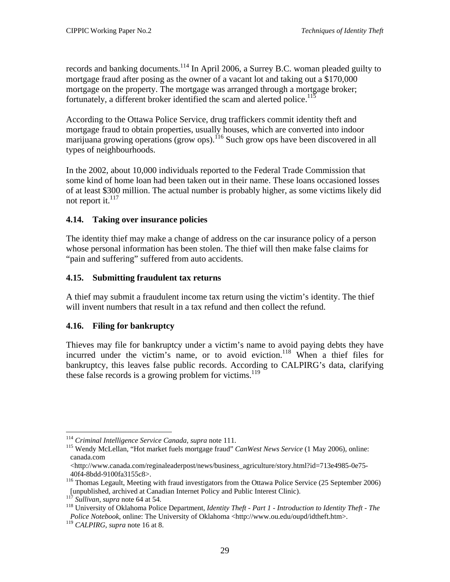<span id="page-34-0"></span>records and banking documents.<sup>114</sup> In April 2006, a Surrey B.C. woman pleaded guilty to mortgage fraud after posing as the owner of a vacant lot and taking out a \$170,000 mortgage on the property. The mortgage was arranged through a mortgage broker; fortunately, a different broker identified the scam and alerted police.<sup>115</sup>

According to the Ottawa Police Service, drug traffickers commit identity theft and mortgage fraud to obtain properties, usually houses, which are converted into indoor marijuana growing operations (grow ops).<sup>116</sup> Such grow ops have been discovered in all types of neighbourhoods.

In the 2002, about 10,000 individuals reported to the Federal Trade Commission that some kind of home loan had been taken out in their name. These loans occasioned losses of at least \$300 million. The actual number is probably higher, as some victims likely did not report it. $^{117}$  $^{117}$  $^{117}$ 

#### **4.14. Taking over insurance policies**

The identity thief may make a change of address on the car insurance policy of a person whose personal information has been stolen. The thief will then make false claims for "pain and suffering" suffered from auto accidents.

#### **4.15. Submitting fraudulent tax returns**

A thief may submit a fraudulent income tax return using the victim's identity. The thief will invent numbers that result in a tax refund and then collect the refund.

#### **4.16. Filing for bankruptcy**

Thieves may file for bankruptcy under a victim's name to avoid paying debts they have incurred under the victim's name, or to avoid eviction.<sup>118</sup> When a thief files for bankruptcy, this leaves false public records. According to CALPIRG's data, clarifying these false records is a growing problem for victims.<sup>119</sup>

<span id="page-34-2"></span><span id="page-34-1"></span>

<sup>&</sup>lt;sup>114</sup> *Criminal Intelligence Service Canada, supra* note 111.<br><sup>115</sup> Wendy McLellan, "Hot market fuels mortgage fraud" *CanWest News Service* (1 May 2006), online: canada.com

 $\langle$ http://www.canada.com/reginaleaderpost/news/business\_agriculture/story.html?id=713e4985-0e75-

<span id="page-34-3"></span><sup>40</sup>f4-8bdd-9100fa3155c8>. 116 Thomas Legault, Meeting with fraud investigators from the Ottawa Police Service (25 September 2006) [unpublished, archived at Canadian Internet Policy and Public Interest Clinic).<br><sup>117</sup> Sullivan, supra note 64 at 54.<br><sup>118</sup> University of Oklahoma Police Department, *Identity Theft - Part 1 - Introduction to Identity Theft* 

<span id="page-34-4"></span>

<span id="page-34-5"></span>*Police Notebook*, online: The University of Oklahoma <http://www.ou.edu/oupd/idtheft.htm>. 119 *CALPIRG*, *supra* note 16 at 8.

<span id="page-34-6"></span>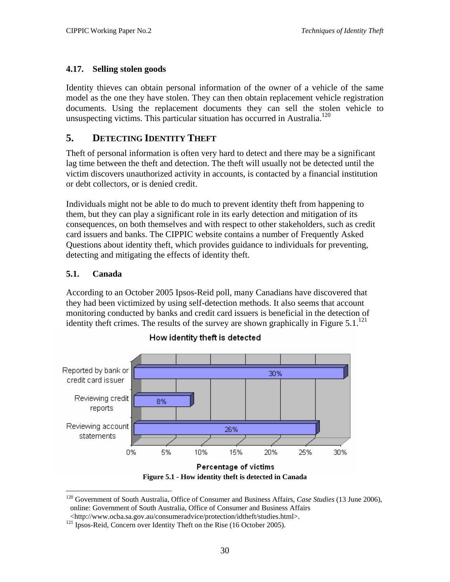#### <span id="page-35-0"></span>**4.17. Selling stolen goods**

Identity thieves can obtain personal information of the owner of a vehicle of the same model as the one they have stolen. They can then obtain replacement vehicle registration documents. Using the replacement documents they can sell the stolen vehicle to unsuspecting victims. This particular situation has occurred in Australia.<sup>[120](#page-35-2)</sup>

# **5. DETECTING IDENTITY THEFT**

Theft of personal information is often very hard to detect and there may be a significant lag time between the theft and detection. The theft will usually not be detected until the victim discovers unauthorized activity in accounts, is contacted by a financial institution or debt collectors, or is denied credit.

Individuals might not be able to do much to prevent identity theft from happening to them, but they can play a significant role in its early detection and mitigation of its consequences, on both themselves and with respect to other stakeholders, such as credit card issuers and banks. The CIPPIC website contains a number of Frequently Asked Questions about identity theft, which provides guidance to individuals for preventing, detecting and mitigating the effects of identity theft.

#### **5.1. Canada**

 $\overline{a}$ 

According to an October 2005 Ipsos-Reid poll, many Canadians have discovered that they had been victimized by using self-detection methods. It also seems that account monitoring conducted by banks and credit card issuers is beneficial in the detection of identity theft crimes. The results of the survey are shown graphically in Figure  $5.1^{121}$  $5.1^{121}$  $5.1^{121}$ 



<span id="page-35-1"></span>How identity theft is detected

**Figure 5.1 - How identity theft is detected in Canada**

<span id="page-35-2"></span><sup>120</sup> Government of South Australia, Office of Consumer and Business Affairs, *Case Studies* (13 June 2006), online: Government of South Australia, Office of Consumer and Business Affairs

<span id="page-35-3"></span><sup>&</sup>lt;http://www.ocba.sa.gov.au/consumeradvice/protection/idtheft/studies.html>. 121 Ipsos-Reid, Concern over Identity Theft on the Rise (16 October 2005).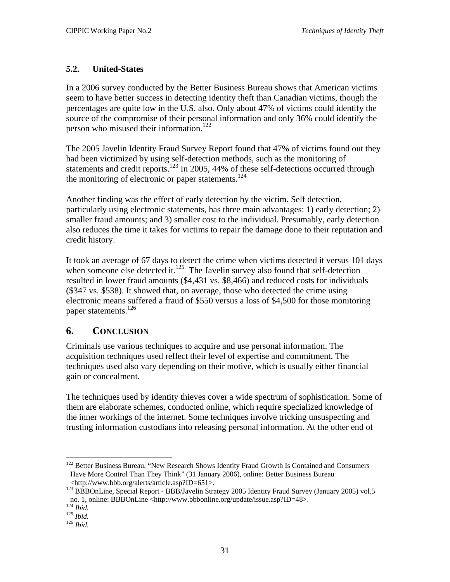#### <span id="page-36-0"></span>**5.2. United-States**

In a 2006 survey conducted by the Better Business Bureau shows that American victims seem to have better success in detecting identity theft than Canadian victims, though the percentages are quite low in the U.S. also. Only about 47% of victims could identify the source of the compromise of their personal information and only 36% could identify the person who misused their information.<sup>122</sup>

The 2005 Javelin Identity Fraud Survey Report found that 47% of victims found out they had been victimized by using self-detection methods, such as the monitoring of statements and credit reports.<sup>123</sup> In 2005, 44% of these self-detections occurred through the monitoring of electronic or paper statements.<sup>[124](#page-36-3)</sup>

Another finding was the effect of early detection by the victim. Self detection, particularly using electronic statements, has three main advantages: 1) early detection; 2) smaller fraud amounts; and 3) smaller cost to the individual. Presumably, early detection also reduces the time it takes for victims to repair the damage done to their reputation and credit history.

It took an average of 67 days to detect the crime when victims detected it versus 101 days when someone else detected it.<sup>125</sup> The Javelin survey also found that self-detection resulted in lower fraud amounts (\$4,431 vs. \$8,466) and reduced costs for individuals (\$347 vs. \$538). It showed that, on average, those who detected the crime using electronic means suffered a fraud of \$550 versus a loss of \$4,500 for those monitoring paper statements.<sup>126</sup>

# **6. CONCLUSION**

Criminals use various techniques to acquire and use personal information. The acquisition techniques used reflect their level of expertise and commitment. The techniques used also vary depending on their motive, which is usually either financial gain or concealment.

The techniques used by identity thieves cover a wide spectrum of sophistication. Some of them are elaborate schemes, conducted online, which require specialized knowledge of the inner workings of the internet. Some techniques involve tricking unsuspecting and trusting information custodians into releasing personal information. At the other end of

<span id="page-36-1"></span><sup>&</sup>lt;sup>122</sup> Better Business Bureau, "New Research Shows Identity Fraud Growth Is Contained and Consumers Have More Control Than They Think" (31 January 2006), online: Better Business Bureau

<span id="page-36-2"></span><sup>&</sup>lt;http://www.bbb.org/alerts/article.asp?ID=651>. 123 BBBOnLine, Special Report - BBB/Javelin Strategy 2005 Identity Fraud Survey (January 2005) vol.5 no. 1, online: BBBOnLine <http://www.bbbonline.org/update/issue.asp?ID=48>. 124 *Ibid.* <sup>125</sup> *Ibid.* <sup>126</sup> *Ibid.*

<span id="page-36-3"></span>

<span id="page-36-4"></span>

<span id="page-36-5"></span>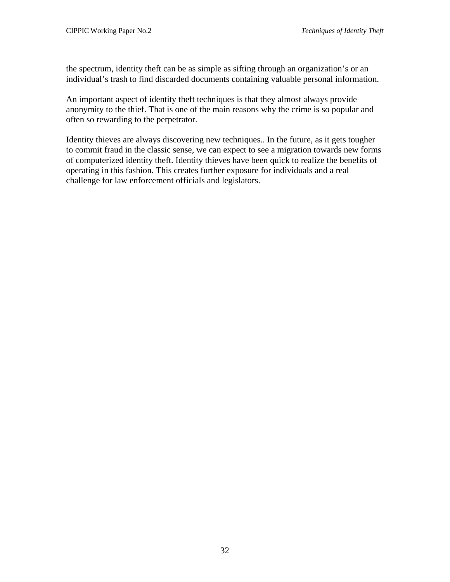the spectrum, identity theft can be as simple as sifting through an organization's or an individual's trash to find discarded documents containing valuable personal information.

An important aspect of identity theft techniques is that they almost always provide anonymity to the thief. That is one of the main reasons why the crime is so popular and often so rewarding to the perpetrator.

Identity thieves are always discovering new techniques.. In the future, as it gets tougher to commit fraud in the classic sense, we can expect to see a migration towards new forms of computerized identity theft. Identity thieves have been quick to realize the benefits of operating in this fashion. This creates further exposure for individuals and a real challenge for law enforcement officials and legislators.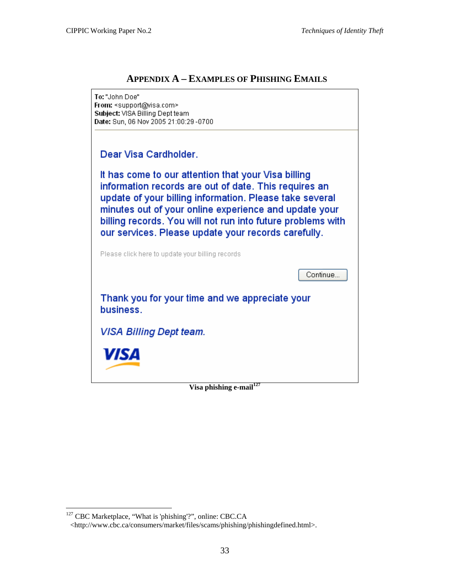## **APPENDIX A – EXAMPLES OF PHISHING EMAILS**

<span id="page-38-0"></span>

<span id="page-38-1"></span><sup>&</sup>lt;sup>127</sup> CBC Marketplace, "What is 'phishing'?", online: CBC.CA

<sup>&</sup>lt;http://www.cbc.ca/consumers/market/files/scams/phishing/phishingdefined.html>.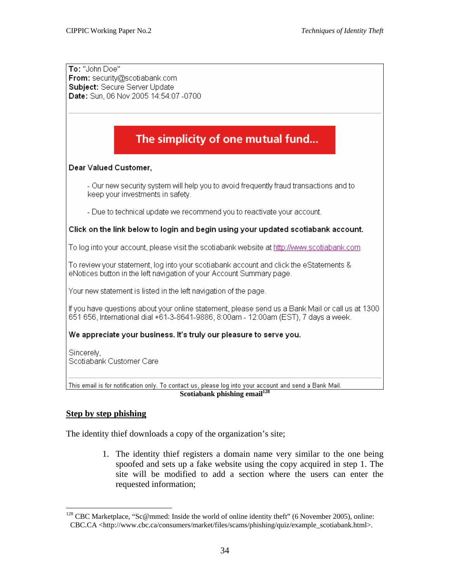To: "John Doe" From: security@scotiabank.com Subiect: Secure Server Update Date: Sun, 06 Nov 2005 14:54:07 -0700

# The simplicity of one mutual fund...

#### Dear Valued Customer,

- Our new security system will help you to avoid frequently fraud transactions and to keep your investments in safety.

- Due to technical update we recommend you to reactivate your account.

#### Click on the link below to login and begin using your updated scotiabank account.

To log into your account, please visit the scotiabank website at http://www.scotiabank.com

To review your statement, log into your scotiabank account and click the eStatements & eNotices button in the left navigation of your Account Summary page.

Your new statement is listed in the left navigation of the page.

If you have questions about your online statement, please send us a Bank Mail or call us at 1300 651 656, International dial +61-3-8641-9886, 8:00am - 12:00am (EST), 7 days a week.

#### We appreciate your business. It's truly our pleasure to serve you.

Sincerely, Scotiabank Customer Care

This email is for notification only. To contact us, please log into your account and send a Bank Mail. **Scotiabank phishing email[128](#page-39-0)**

#### **Step by step phishing**

1

The identity thief downloads a copy of the organization's site;

1. The identity thief registers a domain name very similar to the one being spoofed and sets up a fake website using the copy acquired in step 1. The site will be modified to add a section where the users can enter the requested information;

<span id="page-39-0"></span><sup>&</sup>lt;sup>128</sup> CBC Marketplace, "Sc@mmed: Inside the world of online identity theft" (6 November 2005), online: CBC.CA <http://www.cbc.ca/consumers/market/files/scams/phishing/quiz/example\_scotiabank.html>.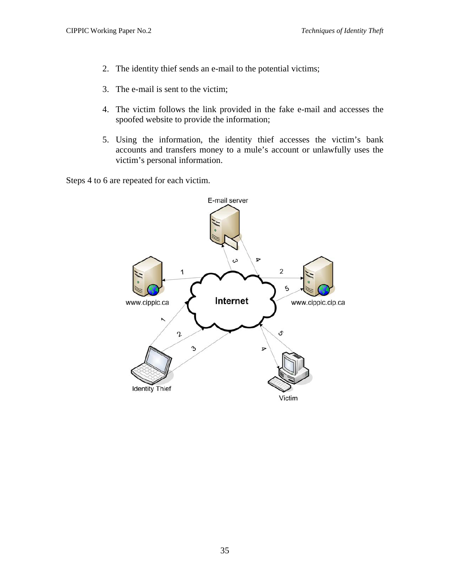- 2. The identity thief sends an e-mail to the potential victims;
- 3. The e-mail is sent to the victim;
- 4. The victim follows the link provided in the fake e-mail and accesses the spoofed website to provide the information;
- 5. Using the information, the identity thief accesses the victim's bank accounts and transfers money to a mule's account or unlawfully uses the victim's personal information.

Steps 4 to 6 are repeated for each victim.

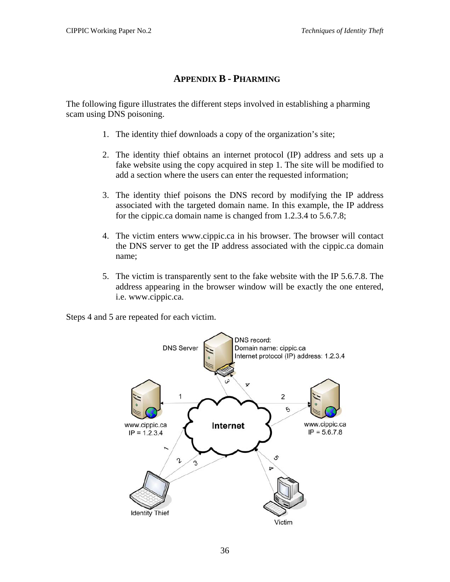## **APPENDIX B - PHARMING**

<span id="page-41-0"></span>The following figure illustrates the different steps involved in establishing a pharming scam using DNS poisoning.

- 1. The identity thief downloads a copy of the organization's site;
- 2. The identity thief obtains an internet protocol (IP) address and sets up a fake website using the copy acquired in step 1. The site will be modified to add a section where the users can enter the requested information;
- 3. The identity thief poisons the DNS record by modifying the IP address associated with the targeted domain name. In this example, the IP address for the cippic.ca domain name is changed from 1.2.3.4 to 5.6.7.8;
- 4. The victim enters www.cippic.ca in his browser. The browser will contact the DNS server to get the IP address associated with the cippic.ca domain name;
- 5. The victim is transparently sent to the fake website with the IP 5.6.7.8. The address appearing in the browser window will be exactly the one entered, i.e. www.cippic.ca.

Steps 4 and 5 are repeated for each victim.

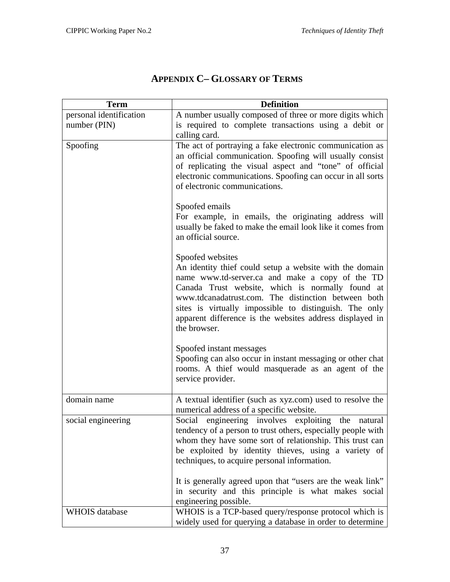<span id="page-42-0"></span>

| <b>Term</b>             | <b>Definition</b>                                                                                                                                                                                                                                                                                                                                                               |
|-------------------------|---------------------------------------------------------------------------------------------------------------------------------------------------------------------------------------------------------------------------------------------------------------------------------------------------------------------------------------------------------------------------------|
| personal identification | A number usually composed of three or more digits which                                                                                                                                                                                                                                                                                                                         |
| number (PIN)            | is required to complete transactions using a debit or                                                                                                                                                                                                                                                                                                                           |
|                         | calling card.                                                                                                                                                                                                                                                                                                                                                                   |
| Spoofing                | The act of portraying a fake electronic communication as<br>an official communication. Spoofing will usually consist<br>of replicating the visual aspect and "tone" of official<br>electronic communications. Spoofing can occur in all sorts<br>of electronic communications.                                                                                                  |
|                         | Spoofed emails<br>For example, in emails, the originating address will<br>usually be faked to make the email look like it comes from<br>an official source.                                                                                                                                                                                                                     |
|                         | Spoofed websites<br>An identity thief could setup a website with the domain<br>name www.td-server.ca and make a copy of the TD<br>Canada Trust website, which is normally found at<br>www.tdcanadatrust.com. The distinction between both<br>sites is virtually impossible to distinguish. The only<br>apparent difference is the websites address displayed in<br>the browser. |
|                         | Spoofed instant messages<br>Spoofing can also occur in instant messaging or other chat<br>rooms. A thief would masquerade as an agent of the<br>service provider.                                                                                                                                                                                                               |
| domain name             | A textual identifier (such as xyz.com) used to resolve the<br>numerical address of a specific website.                                                                                                                                                                                                                                                                          |
| social engineering      | Social engineering involves exploiting the natural<br>tendency of a person to trust others, especially people with<br>whom they have some sort of relationship. This trust can<br>be exploited by identity thieves, using a variety of<br>techniques, to acquire personal information.                                                                                          |
|                         | It is generally agreed upon that "users are the weak link"<br>in security and this principle is what makes social<br>engineering possible.                                                                                                                                                                                                                                      |
| <b>WHOIS</b> database   | WHOIS is a TCP-based query/response protocol which is<br>widely used for querying a database in order to determine                                                                                                                                                                                                                                                              |

# **APPENDIX C– GLOSSARY OF TERMS**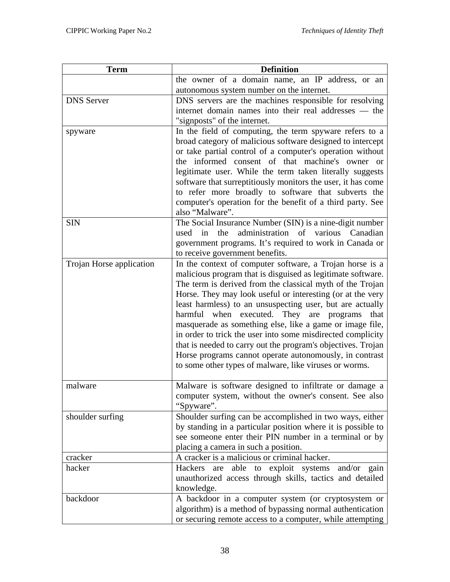| <b>Term</b>              | <b>Definition</b>                                                                                                       |
|--------------------------|-------------------------------------------------------------------------------------------------------------------------|
|                          | the owner of a domain name, an IP address, or an                                                                        |
|                          | autonomous system number on the internet.                                                                               |
| <b>DNS</b> Server        | DNS servers are the machines responsible for resolving                                                                  |
|                          | internet domain names into their real addresses — the                                                                   |
|                          | "signposts" of the internet.                                                                                            |
| spyware                  | In the field of computing, the term spyware refers to a                                                                 |
|                          | broad category of malicious software designed to intercept                                                              |
|                          | or take partial control of a computer's operation without                                                               |
|                          | the informed consent of that machine's owner or                                                                         |
|                          | legitimate user. While the term taken literally suggests                                                                |
|                          | software that surreptitiously monitors the user, it has come                                                            |
|                          | to refer more broadly to software that subverts the                                                                     |
|                          | computer's operation for the benefit of a third party. See                                                              |
|                          | also "Malware".                                                                                                         |
| <b>SIN</b>               | The Social Insurance Number (SIN) is a nine-digit number                                                                |
|                          | administration of various Canadian<br>the<br>used in                                                                    |
|                          | government programs. It's required to work in Canada or                                                                 |
|                          | to receive government benefits.                                                                                         |
| Trojan Horse application | In the context of computer software, a Trojan horse is a<br>malicious program that is disguised as legitimate software. |
|                          | The term is derived from the classical myth of the Trojan                                                               |
|                          | Horse. They may look useful or interesting (or at the very                                                              |
|                          | least harmless) to an unsuspecting user, but are actually                                                               |
|                          | harmful when executed. They are programs<br>that                                                                        |
|                          | masquerade as something else, like a game or image file,                                                                |
|                          | in order to trick the user into some misdirected complicity                                                             |
|                          | that is needed to carry out the program's objectives. Trojan                                                            |
|                          | Horse programs cannot operate autonomously, in contrast                                                                 |
|                          | to some other types of malware, like viruses or worms.                                                                  |
|                          |                                                                                                                         |
| malware                  | Malware is software designed to infiltrate or damage a                                                                  |
|                          | computer system, without the owner's consent. See also                                                                  |
|                          | "Spyware".                                                                                                              |
| shoulder surfing         | Shoulder surfing can be accomplished in two ways, either                                                                |
|                          | by standing in a particular position where it is possible to                                                            |
|                          | see someone enter their PIN number in a terminal or by                                                                  |
|                          | placing a camera in such a position.                                                                                    |
| cracker                  | A cracker is a malicious or criminal hacker.                                                                            |
| hacker                   | and/or gain<br><b>Hackers</b><br>are able to exploit systems                                                            |
|                          | unauthorized access through skills, tactics and detailed                                                                |
|                          | knowledge.                                                                                                              |
| backdoor                 | A backdoor in a computer system (or cryptosystem or                                                                     |
|                          | algorithm) is a method of bypassing normal authentication                                                               |
|                          | or securing remote access to a computer, while attempting                                                               |